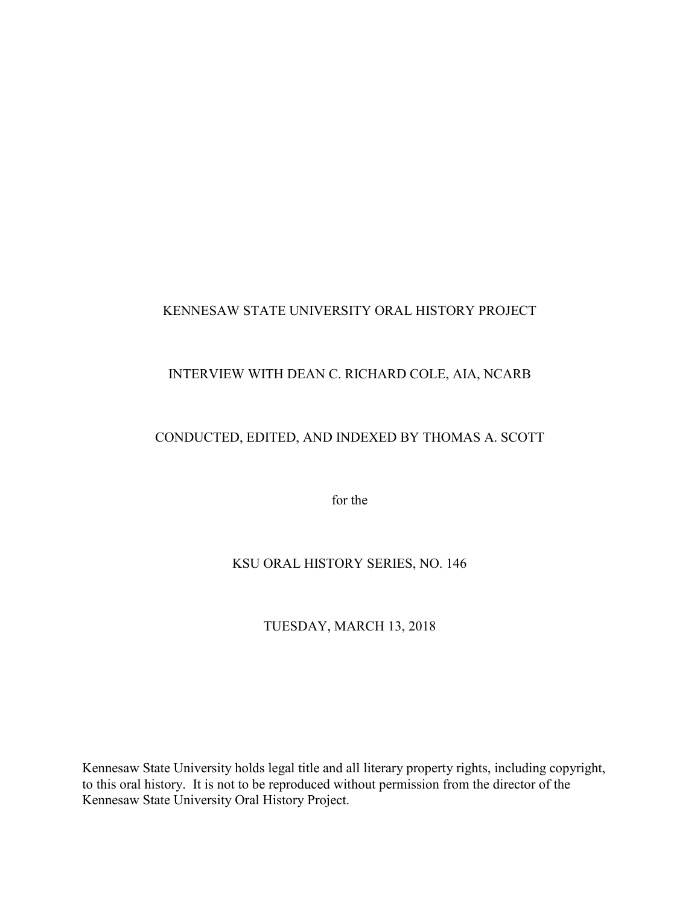#### KENNESAW STATE UNIVERSITY ORAL HISTORY PROJECT

# INTERVIEW WITH DEAN C. RICHARD COLE, AIA, NCARB

# CONDUCTED, EDITED, AND INDEXED BY THOMAS A. SCOTT

for the

## KSU ORAL HISTORY SERIES, NO. 146

## TUESDAY, MARCH 13, 2018

Kennesaw State University holds legal title and all literary property rights, including copyright, to this oral history. It is not to be reproduced without permission from the director of the Kennesaw State University Oral History Project.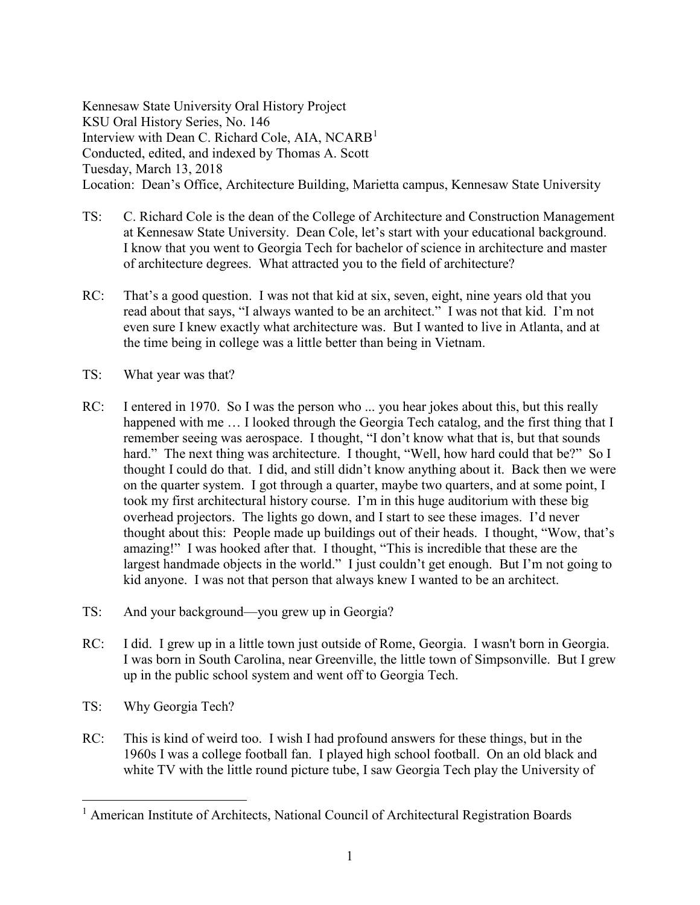Kennesaw State University Oral History Project KSU Oral History Series, No. 146 Interview with Dean C. Richard Cole, AIA,  $NCARB<sup>1</sup>$  $NCARB<sup>1</sup>$  $NCARB<sup>1</sup>$ Conducted, edited, and indexed by Thomas A. Scott Tuesday, March 13, 2018 Location: Dean's Office, Architecture Building, Marietta campus, Kennesaw State University

- TS: C. Richard Cole is the dean of the College of Architecture and Construction Management at Kennesaw State University. Dean Cole, let's start with your educational background. I know that you went to Georgia Tech for bachelor of science in architecture and master of architecture degrees. What attracted you to the field of architecture?
- RC: That's a good question. I was not that kid at six, seven, eight, nine years old that you read about that says, "I always wanted to be an architect." I was not that kid. I'm not even sure I knew exactly what architecture was. But I wanted to live in Atlanta, and at the time being in college was a little better than being in Vietnam.
- TS: What year was that?
- RC: I entered in 1970. So I was the person who ... you hear jokes about this, but this really happened with me ... I looked through the Georgia Tech catalog, and the first thing that I remember seeing was aerospace. I thought, "I don't know what that is, but that sounds hard." The next thing was architecture. I thought, "Well, how hard could that be?" So I thought I could do that. I did, and still didn't know anything about it. Back then we were on the quarter system. I got through a quarter, maybe two quarters, and at some point, I took my first architectural history course. I'm in this huge auditorium with these big overhead projectors. The lights go down, and I start to see these images. I'd never thought about this: People made up buildings out of their heads. I thought, "Wow, that's amazing!" I was hooked after that. I thought, "This is incredible that these are the largest handmade objects in the world." I just couldn't get enough. But I'm not going to kid anyone. I was not that person that always knew I wanted to be an architect.
- TS: And your background—you grew up in Georgia?
- RC: I did. I grew up in a little town just outside of Rome, Georgia. I wasn't born in Georgia. I was born in South Carolina, near Greenville, the little town of Simpsonville. But I grew up in the public school system and went off to Georgia Tech.
- TS: Why Georgia Tech?
- RC: This is kind of weird too. I wish I had profound answers for these things, but in the 1960s I was a college football fan. I played high school football. On an old black and white TV with the little round picture tube, I saw Georgia Tech play the University of

<span id="page-1-0"></span><sup>&</sup>lt;sup>1</sup> American Institute of Architects, National Council of Architectural Registration Boards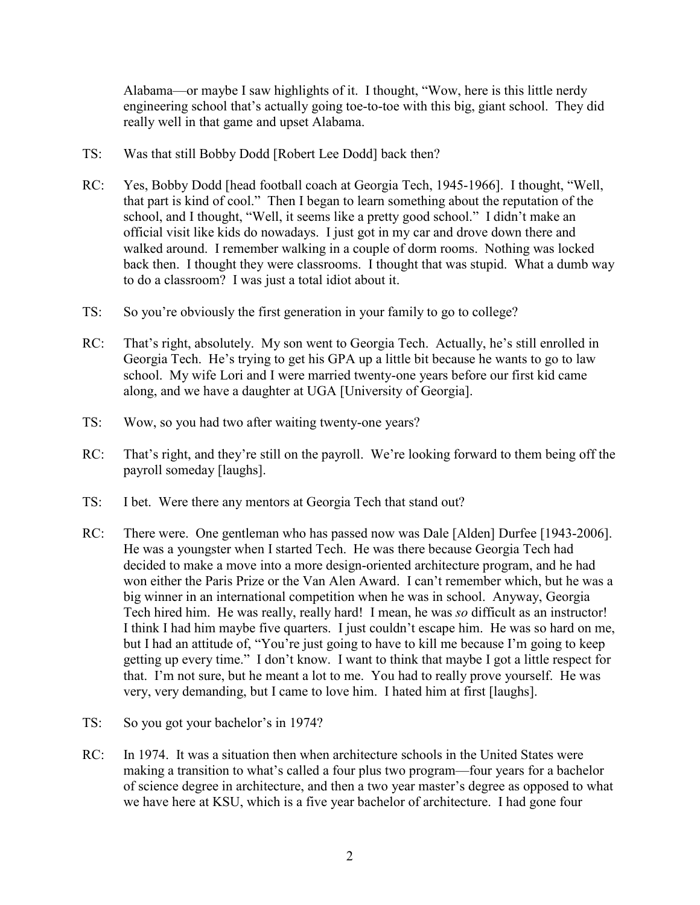Alabama—or maybe I saw highlights of it. I thought, "Wow, here is this little nerdy engineering school that's actually going toe-to-toe with this big, giant school. They did really well in that game and upset Alabama.

- TS: Was that still Bobby Dodd [Robert Lee Dodd] back then?
- RC: Yes, Bobby Dodd [head football coach at Georgia Tech, 1945-1966]. I thought, "Well, that part is kind of cool." Then I began to learn something about the reputation of the school, and I thought, "Well, it seems like a pretty good school." I didn't make an official visit like kids do nowadays. I just got in my car and drove down there and walked around. I remember walking in a couple of dorm rooms. Nothing was locked back then. I thought they were classrooms. I thought that was stupid. What a dumb way to do a classroom? I was just a total idiot about it.
- TS: So you're obviously the first generation in your family to go to college?
- RC: That's right, absolutely. My son went to Georgia Tech. Actually, he's still enrolled in Georgia Tech. He's trying to get his GPA up a little bit because he wants to go to law school. My wife Lori and I were married twenty-one years before our first kid came along, and we have a daughter at UGA [University of Georgia].
- TS: Wow, so you had two after waiting twenty-one years?
- RC: That's right, and they're still on the payroll. We're looking forward to them being off the payroll someday [laughs].
- TS: I bet. Were there any mentors at Georgia Tech that stand out?
- RC: There were. One gentleman who has passed now was Dale [Alden] Durfee [1943-2006]. He was a youngster when I started Tech. He was there because Georgia Tech had decided to make a move into a more design-oriented architecture program, and he had won either the Paris Prize or the Van Alen Award. I can't remember which, but he was a big winner in an international competition when he was in school. Anyway, Georgia Tech hired him. He was really, really hard! I mean, he was *so* difficult as an instructor! I think I had him maybe five quarters. I just couldn't escape him. He was so hard on me, but I had an attitude of, "You're just going to have to kill me because I'm going to keep getting up every time." I don't know. I want to think that maybe I got a little respect for that. I'm not sure, but he meant a lot to me. You had to really prove yourself. He was very, very demanding, but I came to love him. I hated him at first [laughs].
- TS: So you got your bachelor's in 1974?
- RC: In 1974. It was a situation then when architecture schools in the United States were making a transition to what's called a four plus two program—four years for a bachelor of science degree in architecture, and then a two year master's degree as opposed to what we have here at KSU, which is a five year bachelor of architecture. I had gone four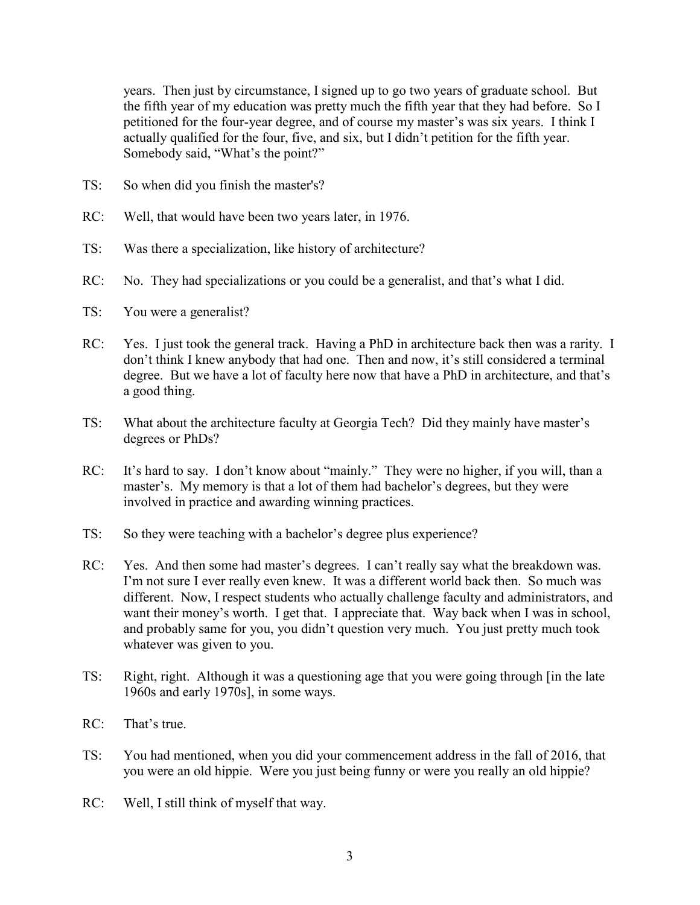years. Then just by circumstance, I signed up to go two years of graduate school. But the fifth year of my education was pretty much the fifth year that they had before. So I petitioned for the four-year degree, and of course my master's was six years. I think I actually qualified for the four, five, and six, but I didn't petition for the fifth year. Somebody said, "What's the point?"

- TS: So when did you finish the master's?
- RC: Well, that would have been two years later, in 1976.
- TS: Was there a specialization, like history of architecture?
- RC: No. They had specializations or you could be a generalist, and that's what I did.
- TS: You were a generalist?
- RC: Yes. I just took the general track. Having a PhD in architecture back then was a rarity. I don't think I knew anybody that had one. Then and now, it's still considered a terminal degree. But we have a lot of faculty here now that have a PhD in architecture, and that's a good thing.
- TS: What about the architecture faculty at Georgia Tech? Did they mainly have master's degrees or PhDs?
- RC: It's hard to say. I don't know about "mainly." They were no higher, if you will, than a master's. My memory is that a lot of them had bachelor's degrees, but they were involved in practice and awarding winning practices.
- TS: So they were teaching with a bachelor's degree plus experience?
- RC: Yes. And then some had master's degrees. I can't really say what the breakdown was. I'm not sure I ever really even knew. It was a different world back then. So much was different. Now, I respect students who actually challenge faculty and administrators, and want their money's worth. I get that. I appreciate that. Way back when I was in school, and probably same for you, you didn't question very much. You just pretty much took whatever was given to you.
- TS: Right, right. Although it was a questioning age that you were going through [in the late 1960s and early 1970s], in some ways.
- RC: That's true.
- TS: You had mentioned, when you did your commencement address in the fall of 2016, that you were an old hippie. Were you just being funny or were you really an old hippie?
- RC: Well, I still think of myself that way.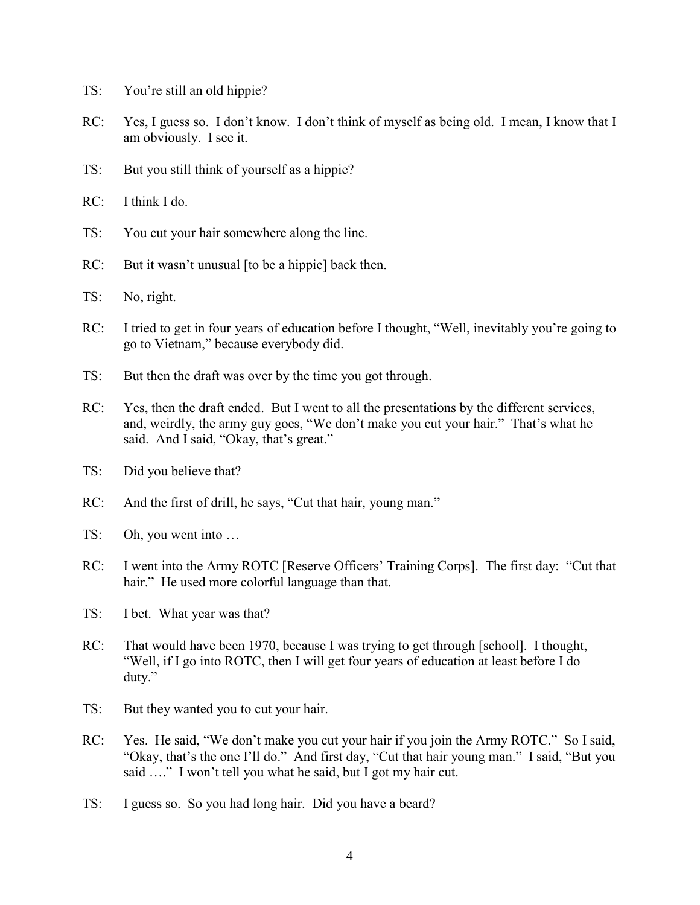- TS: You're still an old hippie?
- RC: Yes, I guess so. I don't know. I don't think of myself as being old. I mean, I know that I am obviously. I see it.
- TS: But you still think of yourself as a hippie?
- RC: I think I do.
- TS: You cut your hair somewhere along the line.
- RC: But it wasn't unusual [to be a hippie] back then.
- TS: No, right.
- RC: I tried to get in four years of education before I thought, "Well, inevitably you're going to go to Vietnam," because everybody did.
- TS: But then the draft was over by the time you got through.
- RC: Yes, then the draft ended. But I went to all the presentations by the different services, and, weirdly, the army guy goes, "We don't make you cut your hair." That's what he said. And I said, "Okay, that's great."
- TS: Did you believe that?
- RC: And the first of drill, he says, "Cut that hair, young man."
- TS: Oh, you went into …
- RC: I went into the Army ROTC [Reserve Officers' Training Corps]. The first day: "Cut that hair." He used more colorful language than that.
- TS: I bet. What year was that?
- RC: That would have been 1970, because I was trying to get through [school]. I thought, "Well, if I go into ROTC, then I will get four years of education at least before I do duty."
- TS: But they wanted you to cut your hair.
- RC: Yes. He said, "We don't make you cut your hair if you join the Army ROTC." So I said, "Okay, that's the one I'll do." And first day, "Cut that hair young man." I said, "But you said ...." I won't tell you what he said, but I got my hair cut.
- TS: I guess so. So you had long hair. Did you have a beard?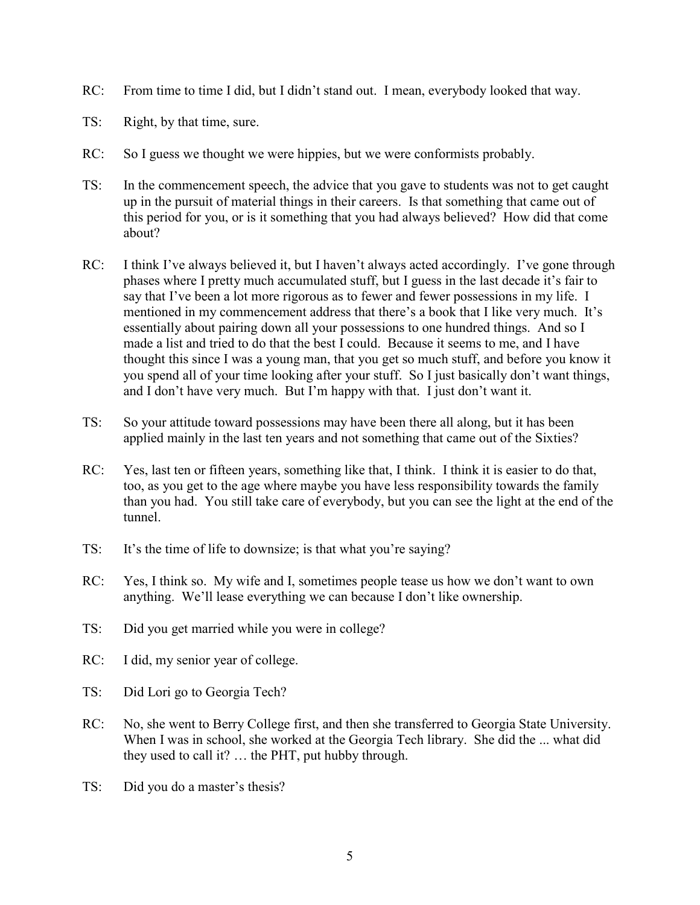- RC: From time to time I did, but I didn't stand out. I mean, everybody looked that way.
- TS: Right, by that time, sure.
- RC: So I guess we thought we were hippies, but we were conformists probably.
- TS: In the commencement speech, the advice that you gave to students was not to get caught up in the pursuit of material things in their careers. Is that something that came out of this period for you, or is it something that you had always believed? How did that come about?
- RC: I think I've always believed it, but I haven't always acted accordingly. I've gone through phases where I pretty much accumulated stuff, but I guess in the last decade it's fair to say that I've been a lot more rigorous as to fewer and fewer possessions in my life. I mentioned in my commencement address that there's a book that I like very much. It's essentially about pairing down all your possessions to one hundred things. And so I made a list and tried to do that the best I could. Because it seems to me, and I have thought this since I was a young man, that you get so much stuff, and before you know it you spend all of your time looking after your stuff. So I just basically don't want things, and I don't have very much. But I'm happy with that. I just don't want it.
- TS: So your attitude toward possessions may have been there all along, but it has been applied mainly in the last ten years and not something that came out of the Sixties?
- RC: Yes, last ten or fifteen years, something like that, I think. I think it is easier to do that, too, as you get to the age where maybe you have less responsibility towards the family than you had. You still take care of everybody, but you can see the light at the end of the tunnel.
- TS: It's the time of life to downsize; is that what you're saying?
- RC: Yes, I think so. My wife and I, sometimes people tease us how we don't want to own anything. We'll lease everything we can because I don't like ownership.
- TS: Did you get married while you were in college?
- RC: I did, my senior year of college.
- TS: Did Lori go to Georgia Tech?
- RC: No, she went to Berry College first, and then she transferred to Georgia State University. When I was in school, she worked at the Georgia Tech library. She did the ... what did they used to call it? … the PHT, put hubby through.
- TS: Did you do a master's thesis?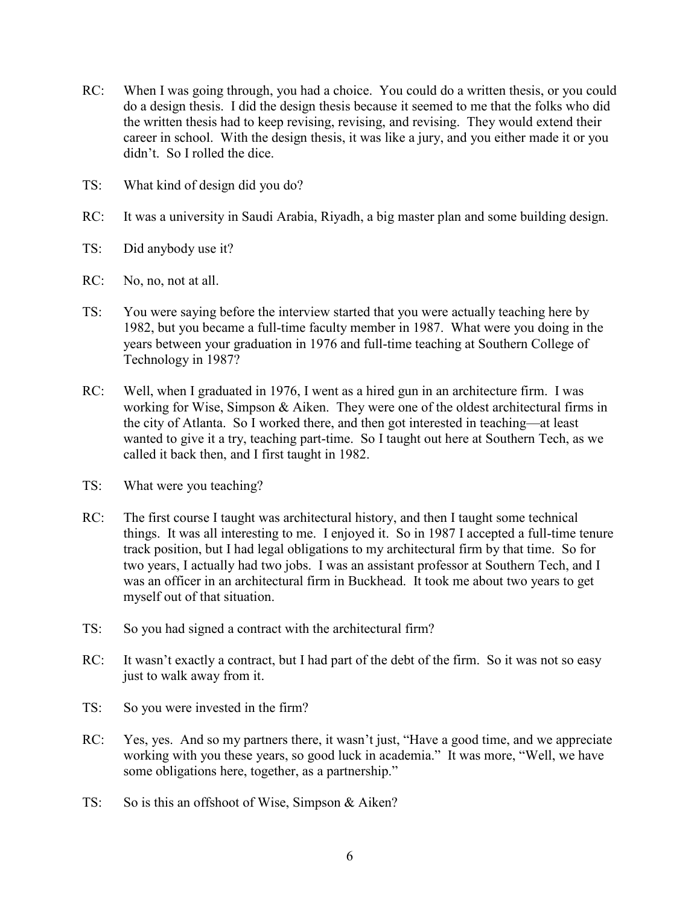- RC: When I was going through, you had a choice. You could do a written thesis, or you could do a design thesis. I did the design thesis because it seemed to me that the folks who did the written thesis had to keep revising, revising, and revising. They would extend their career in school. With the design thesis, it was like a jury, and you either made it or you didn't. So I rolled the dice.
- TS: What kind of design did you do?
- RC: It was a university in Saudi Arabia, Riyadh, a big master plan and some building design.
- TS: Did anybody use it?
- RC: No, no, not at all.
- TS: You were saying before the interview started that you were actually teaching here by 1982, but you became a full-time faculty member in 1987. What were you doing in the years between your graduation in 1976 and full-time teaching at Southern College of Technology in 1987?
- RC: Well, when I graduated in 1976, I went as a hired gun in an architecture firm. I was working for Wise, Simpson & Aiken. They were one of the oldest architectural firms in the city of Atlanta. So I worked there, and then got interested in teaching—at least wanted to give it a try, teaching part-time. So I taught out here at Southern Tech, as we called it back then, and I first taught in 1982.
- TS: What were you teaching?
- RC: The first course I taught was architectural history, and then I taught some technical things. It was all interesting to me. I enjoyed it. So in 1987 I accepted a full-time tenure track position, but I had legal obligations to my architectural firm by that time. So for two years, I actually had two jobs. I was an assistant professor at Southern Tech, and I was an officer in an architectural firm in Buckhead. It took me about two years to get myself out of that situation.
- TS: So you had signed a contract with the architectural firm?
- RC: It wasn't exactly a contract, but I had part of the debt of the firm. So it was not so easy just to walk away from it.
- TS: So you were invested in the firm?
- RC: Yes, yes. And so my partners there, it wasn't just, "Have a good time, and we appreciate working with you these years, so good luck in academia." It was more, "Well, we have some obligations here, together, as a partnership."
- TS: So is this an offshoot of Wise, Simpson & Aiken?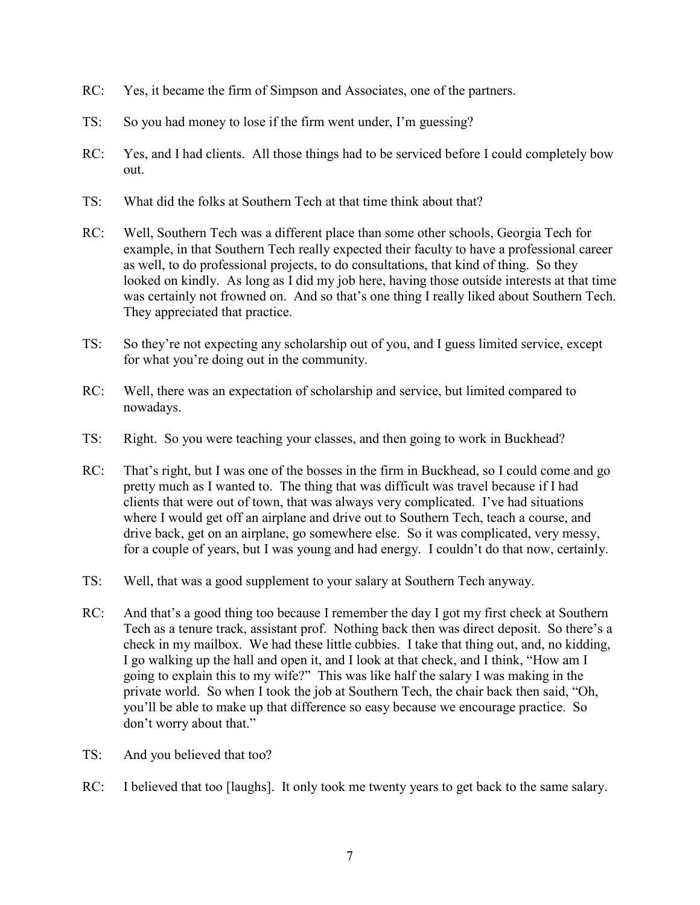- RC: Yes, it became the firm of Simpson and Associates, one of the partners.
- TS: So you had money to lose if the firm went under, I'm guessing?
- RC: Yes, and I had clients. All those things had to be serviced before I could completely bow out.
- TS: What did the folks at Southern Tech at that time think about that?
- RC: Well, Southern Tech was a different place than some other schools, Georgia Tech for example, in that Southern Tech really expected their faculty to have a professional career as well, to do professional projects, to do consultations, that kind of thing. So they looked on kindly. As long as I did my job here, having those outside interests at that time was certainly not frowned on. And so that's one thing I really liked about Southern Tech. They appreciated that practice.
- TS: So they're not expecting any scholarship out of you, and I guess limited service, except for what you're doing out in the community.
- RC: Well, there was an expectation of scholarship and service, but limited compared to nowadays.
- TS: Right. So you were teaching your classes, and then going to work in Buckhead?
- RC: That's right, but I was one of the bosses in the firm in Buckhead, so I could come and go pretty much as I wanted to. The thing that was difficult was travel because if I had clients that were out of town, that was always very complicated. I've had situations where I would get off an airplane and drive out to Southern Tech, teach a course, and drive back, get on an airplane, go somewhere else. So it was complicated, very messy, for a couple of years, but I was young and had energy. I couldn't do that now, certainly.
- TS: Well, that was a good supplement to your salary at Southern Tech anyway.
- RC: And that's a good thing too because I remember the day I got my first check at Southern Tech as a tenure track, assistant prof. Nothing back then was direct deposit. So there's a check in my mailbox. We had these little cubbies. I take that thing out, and, no kidding, I go walking up the hall and open it, and I look at that check, and I think, "How am I going to explain this to my wife?" This was like half the salary I was making in the private world. So when I took the job at Southern Tech, the chair back then said, "Oh, you'll be able to make up that difference so easy because we encourage practice. So don't worry about that."
- TS: And you believed that too?
- RC: I believed that too [laughs]. It only took me twenty years to get back to the same salary.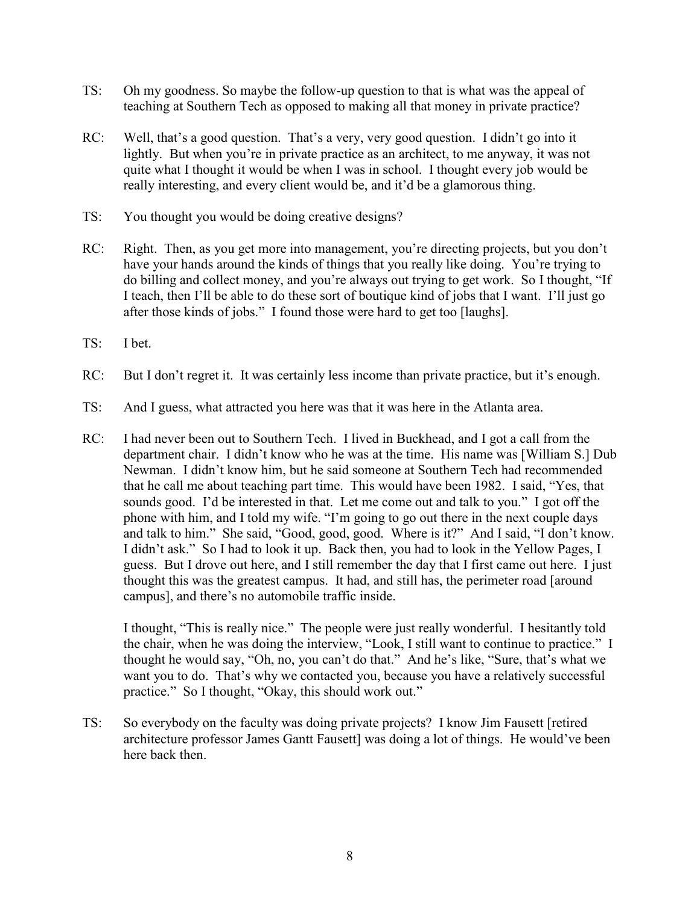- TS: Oh my goodness. So maybe the follow-up question to that is what was the appeal of teaching at Southern Tech as opposed to making all that money in private practice?
- RC: Well, that's a good question. That's a very, very good question. I didn't go into it lightly. But when you're in private practice as an architect, to me anyway, it was not quite what I thought it would be when I was in school. I thought every job would be really interesting, and every client would be, and it'd be a glamorous thing.
- TS: You thought you would be doing creative designs?
- RC: Right. Then, as you get more into management, you're directing projects, but you don't have your hands around the kinds of things that you really like doing. You're trying to do billing and collect money, and you're always out trying to get work. So I thought, "If I teach, then I'll be able to do these sort of boutique kind of jobs that I want. I'll just go after those kinds of jobs." I found those were hard to get too [laughs].
- TS: I bet.
- RC: But I don't regret it. It was certainly less income than private practice, but it's enough.
- TS: And I guess, what attracted you here was that it was here in the Atlanta area.
- RC: I had never been out to Southern Tech. I lived in Buckhead, and I got a call from the department chair. I didn't know who he was at the time. His name was [William S.] Dub Newman. I didn't know him, but he said someone at Southern Tech had recommended that he call me about teaching part time. This would have been 1982. I said, "Yes, that sounds good. I'd be interested in that. Let me come out and talk to you." I got off the phone with him, and I told my wife. "I'm going to go out there in the next couple days and talk to him." She said, "Good, good, good. Where is it?" And I said, "I don't know. I didn't ask." So I had to look it up. Back then, you had to look in the Yellow Pages, I guess. But I drove out here, and I still remember the day that I first came out here. I just thought this was the greatest campus. It had, and still has, the perimeter road [around campus], and there's no automobile traffic inside.

I thought, "This is really nice." The people were just really wonderful. I hesitantly told the chair, when he was doing the interview, "Look, I still want to continue to practice." I thought he would say, "Oh, no, you can't do that." And he's like, "Sure, that's what we want you to do. That's why we contacted you, because you have a relatively successful practice." So I thought, "Okay, this should work out."

TS: So everybody on the faculty was doing private projects? I know Jim Fausett [retired architecture professor James Gantt Fausett] was doing a lot of things. He would've been here back then.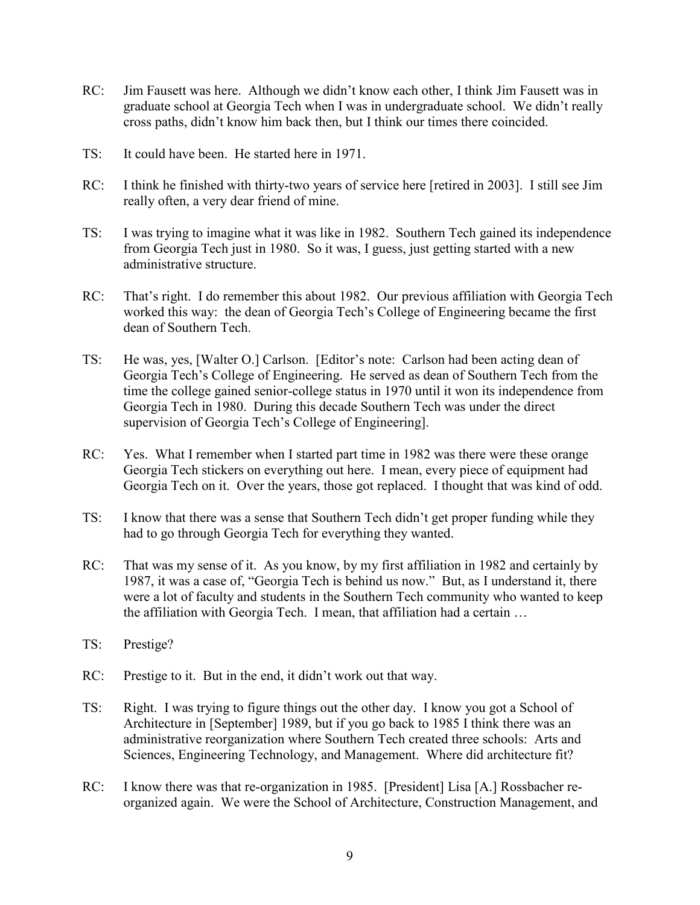- RC: Jim Fausett was here. Although we didn't know each other, I think Jim Fausett was in graduate school at Georgia Tech when I was in undergraduate school. We didn't really cross paths, didn't know him back then, but I think our times there coincided.
- TS: It could have been. He started here in 1971.
- RC: I think he finished with thirty-two years of service here [retired in 2003]. I still see Jim really often, a very dear friend of mine.
- TS: I was trying to imagine what it was like in 1982. Southern Tech gained its independence from Georgia Tech just in 1980. So it was, I guess, just getting started with a new administrative structure.
- RC: That's right. I do remember this about 1982. Our previous affiliation with Georgia Tech worked this way: the dean of Georgia Tech's College of Engineering became the first dean of Southern Tech.
- TS: He was, yes, [Walter O.] Carlson. [Editor's note: Carlson had been acting dean of Georgia Tech's College of Engineering. He served as dean of Southern Tech from the time the college gained senior-college status in 1970 until it won its independence from Georgia Tech in 1980. During this decade Southern Tech was under the direct supervision of Georgia Tech's College of Engineering].
- RC: Yes. What I remember when I started part time in 1982 was there were these orange Georgia Tech stickers on everything out here. I mean, every piece of equipment had Georgia Tech on it. Over the years, those got replaced. I thought that was kind of odd.
- TS: I know that there was a sense that Southern Tech didn't get proper funding while they had to go through Georgia Tech for everything they wanted.
- RC: That was my sense of it. As you know, by my first affiliation in 1982 and certainly by 1987, it was a case of, "Georgia Tech is behind us now." But, as I understand it, there were a lot of faculty and students in the Southern Tech community who wanted to keep the affiliation with Georgia Tech. I mean, that affiliation had a certain …
- TS: Prestige?
- RC: Prestige to it. But in the end, it didn't work out that way.
- TS: Right. I was trying to figure things out the other day. I know you got a School of Architecture in [September] 1989, but if you go back to 1985 I think there was an administrative reorganization where Southern Tech created three schools: Arts and Sciences, Engineering Technology, and Management. Where did architecture fit?
- RC: I know there was that re-organization in 1985. [President] Lisa [A.] Rossbacher reorganized again. We were the School of Architecture, Construction Management, and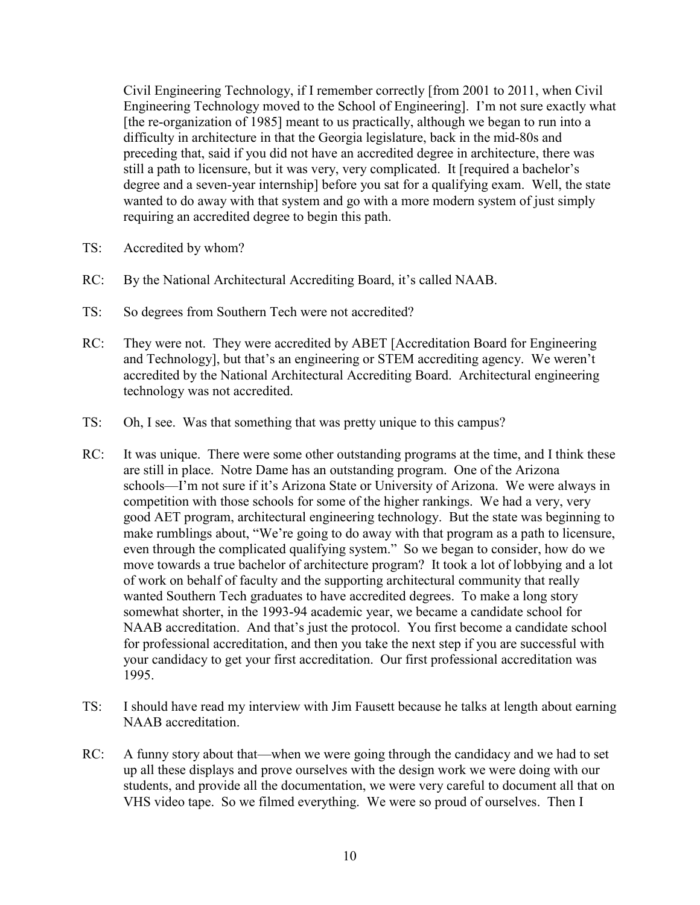Civil Engineering Technology, if I remember correctly [from 2001 to 2011, when Civil Engineering Technology moved to the School of Engineering]. I'm not sure exactly what [the re-organization of 1985] meant to us practically, although we began to run into a difficulty in architecture in that the Georgia legislature, back in the mid-80s and preceding that, said if you did not have an accredited degree in architecture, there was still a path to licensure, but it was very, very complicated. It [required a bachelor's degree and a seven-year internship] before you sat for a qualifying exam. Well, the state wanted to do away with that system and go with a more modern system of just simply requiring an accredited degree to begin this path.

- TS: Accredited by whom?
- RC: By the National Architectural Accrediting Board, it's called NAAB.
- TS: So degrees from Southern Tech were not accredited?
- RC: They were not. They were accredited by ABET [Accreditation Board for Engineering and Technology], but that's an engineering or STEM accrediting agency. We weren't accredited by the National Architectural Accrediting Board. Architectural engineering technology was not accredited.
- TS: Oh, I see. Was that something that was pretty unique to this campus?
- RC: It was unique. There were some other outstanding programs at the time, and I think these are still in place. Notre Dame has an outstanding program. One of the Arizona schools—I'm not sure if it's Arizona State or University of Arizona. We were always in competition with those schools for some of the higher rankings. We had a very, very good AET program, architectural engineering technology. But the state was beginning to make rumblings about, "We're going to do away with that program as a path to licensure, even through the complicated qualifying system." So we began to consider, how do we move towards a true bachelor of architecture program? It took a lot of lobbying and a lot of work on behalf of faculty and the supporting architectural community that really wanted Southern Tech graduates to have accredited degrees. To make a long story somewhat shorter, in the 1993-94 academic year, we became a candidate school for NAAB accreditation. And that's just the protocol. You first become a candidate school for professional accreditation, and then you take the next step if you are successful with your candidacy to get your first accreditation. Our first professional accreditation was 1995.
- TS: I should have read my interview with Jim Fausett because he talks at length about earning NAAB accreditation.
- RC: A funny story about that—when we were going through the candidacy and we had to set up all these displays and prove ourselves with the design work we were doing with our students, and provide all the documentation, we were very careful to document all that on VHS video tape. So we filmed everything. We were so proud of ourselves. Then I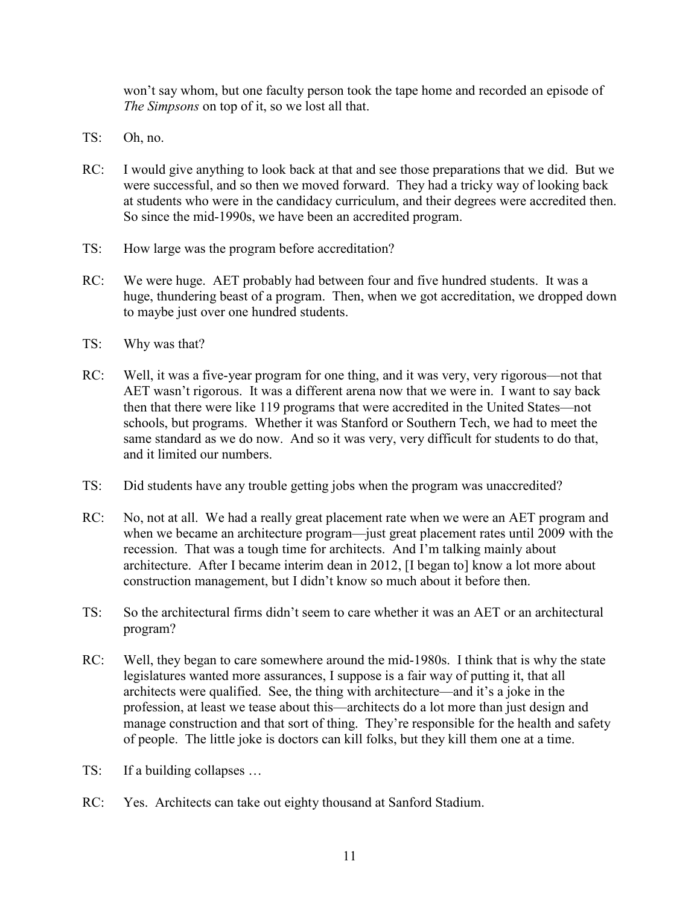won't say whom, but one faculty person took the tape home and recorded an episode of *The Simpsons* on top of it, so we lost all that.

- TS: Oh, no.
- RC: I would give anything to look back at that and see those preparations that we did. But we were successful, and so then we moved forward. They had a tricky way of looking back at students who were in the candidacy curriculum, and their degrees were accredited then. So since the mid-1990s, we have been an accredited program.
- TS: How large was the program before accreditation?
- RC: We were huge. AET probably had between four and five hundred students. It was a huge, thundering beast of a program. Then, when we got accreditation, we dropped down to maybe just over one hundred students.
- TS: Why was that?
- RC: Well, it was a five-year program for one thing, and it was very, very rigorous—not that AET wasn't rigorous. It was a different arena now that we were in. I want to say back then that there were like 119 programs that were accredited in the United States—not schools, but programs. Whether it was Stanford or Southern Tech, we had to meet the same standard as we do now. And so it was very, very difficult for students to do that, and it limited our numbers.
- TS: Did students have any trouble getting jobs when the program was unaccredited?
- RC: No, not at all. We had a really great placement rate when we were an AET program and when we became an architecture program—just great placement rates until 2009 with the recession. That was a tough time for architects. And I'm talking mainly about architecture. After I became interim dean in 2012, [I began to] know a lot more about construction management, but I didn't know so much about it before then.
- TS: So the architectural firms didn't seem to care whether it was an AET or an architectural program?
- RC: Well, they began to care somewhere around the mid-1980s. I think that is why the state legislatures wanted more assurances, I suppose is a fair way of putting it, that all architects were qualified. See, the thing with architecture—and it's a joke in the profession, at least we tease about this—architects do a lot more than just design and manage construction and that sort of thing. They're responsible for the health and safety of people. The little joke is doctors can kill folks, but they kill them one at a time.
- TS: If a building collapses …
- RC: Yes. Architects can take out eighty thousand at Sanford Stadium.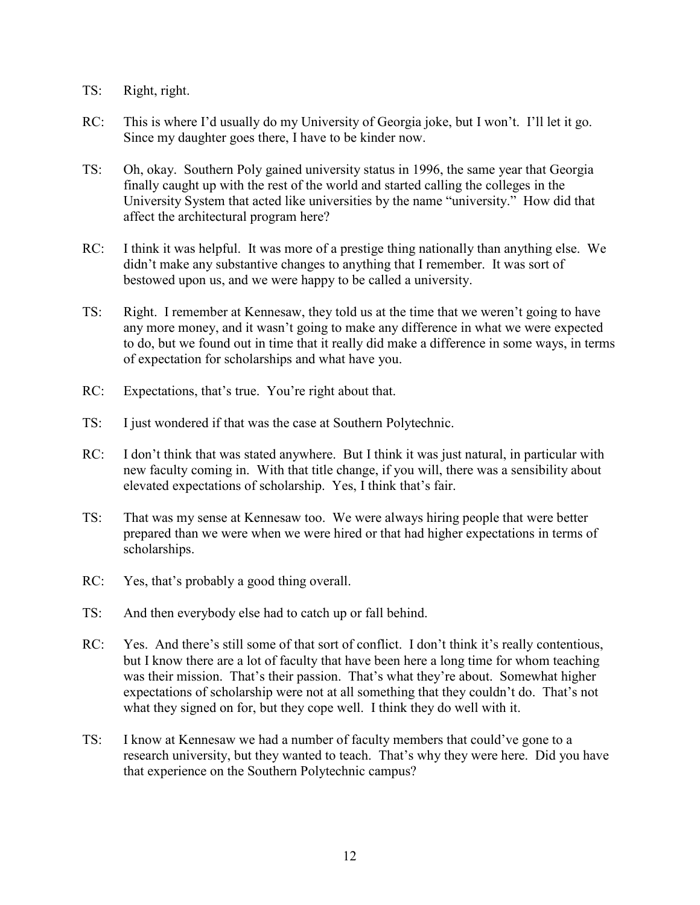- TS: Right, right.
- RC: This is where I'd usually do my University of Georgia joke, but I won't. I'll let it go. Since my daughter goes there, I have to be kinder now.
- TS: Oh, okay. Southern Poly gained university status in 1996, the same year that Georgia finally caught up with the rest of the world and started calling the colleges in the University System that acted like universities by the name "university." How did that affect the architectural program here?
- RC: I think it was helpful. It was more of a prestige thing nationally than anything else. We didn't make any substantive changes to anything that I remember. It was sort of bestowed upon us, and we were happy to be called a university.
- TS: Right. I remember at Kennesaw, they told us at the time that we weren't going to have any more money, and it wasn't going to make any difference in what we were expected to do, but we found out in time that it really did make a difference in some ways, in terms of expectation for scholarships and what have you.
- RC: Expectations, that's true. You're right about that.
- TS: I just wondered if that was the case at Southern Polytechnic.
- RC: I don't think that was stated anywhere. But I think it was just natural, in particular with new faculty coming in. With that title change, if you will, there was a sensibility about elevated expectations of scholarship. Yes, I think that's fair.
- TS: That was my sense at Kennesaw too. We were always hiring people that were better prepared than we were when we were hired or that had higher expectations in terms of scholarships.
- RC: Yes, that's probably a good thing overall.
- TS: And then everybody else had to catch up or fall behind.
- RC: Yes. And there's still some of that sort of conflict. I don't think it's really contentious, but I know there are a lot of faculty that have been here a long time for whom teaching was their mission. That's their passion. That's what they're about. Somewhat higher expectations of scholarship were not at all something that they couldn't do. That's not what they signed on for, but they cope well. I think they do well with it.
- TS: I know at Kennesaw we had a number of faculty members that could've gone to a research university, but they wanted to teach. That's why they were here. Did you have that experience on the Southern Polytechnic campus?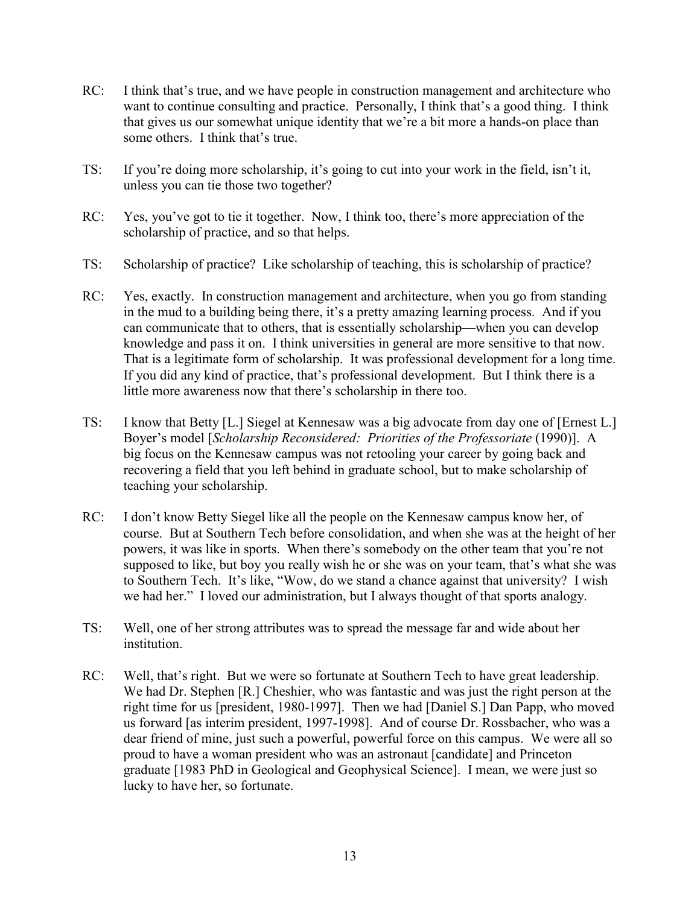- RC: I think that's true, and we have people in construction management and architecture who want to continue consulting and practice. Personally, I think that's a good thing. I think that gives us our somewhat unique identity that we're a bit more a hands-on place than some others. I think that's true.
- TS: If you're doing more scholarship, it's going to cut into your work in the field, isn't it, unless you can tie those two together?
- RC: Yes, you've got to tie it together. Now, I think too, there's more appreciation of the scholarship of practice, and so that helps.
- TS: Scholarship of practice? Like scholarship of teaching, this is scholarship of practice?
- RC: Yes, exactly. In construction management and architecture, when you go from standing in the mud to a building being there, it's a pretty amazing learning process. And if you can communicate that to others, that is essentially scholarship—when you can develop knowledge and pass it on. I think universities in general are more sensitive to that now. That is a legitimate form of scholarship. It was professional development for a long time. If you did any kind of practice, that's professional development. But I think there is a little more awareness now that there's scholarship in there too.
- TS: I know that Betty [L.] Siegel at Kennesaw was a big advocate from day one of [Ernest L.] Boyer's model [*Scholarship Reconsidered: Priorities of the Professoriate* (1990)]. A big focus on the Kennesaw campus was not retooling your career by going back and recovering a field that you left behind in graduate school, but to make scholarship of teaching your scholarship.
- RC: I don't know Betty Siegel like all the people on the Kennesaw campus know her, of course. But at Southern Tech before consolidation, and when she was at the height of her powers, it was like in sports. When there's somebody on the other team that you're not supposed to like, but boy you really wish he or she was on your team, that's what she was to Southern Tech. It's like, "Wow, do we stand a chance against that university? I wish we had her." I loved our administration, but I always thought of that sports analogy.
- TS: Well, one of her strong attributes was to spread the message far and wide about her institution.
- RC: Well, that's right. But we were so fortunate at Southern Tech to have great leadership. We had Dr. Stephen [R.] Cheshier, who was fantastic and was just the right person at the right time for us [president, 1980-1997]. Then we had [Daniel S.] Dan Papp, who moved us forward [as interim president, 1997-1998]. And of course Dr. Rossbacher, who was a dear friend of mine, just such a powerful, powerful force on this campus. We were all so proud to have a woman president who was an astronaut [candidate] and Princeton graduate [1983 PhD in Geological and Geophysical Science]. I mean, we were just so lucky to have her, so fortunate.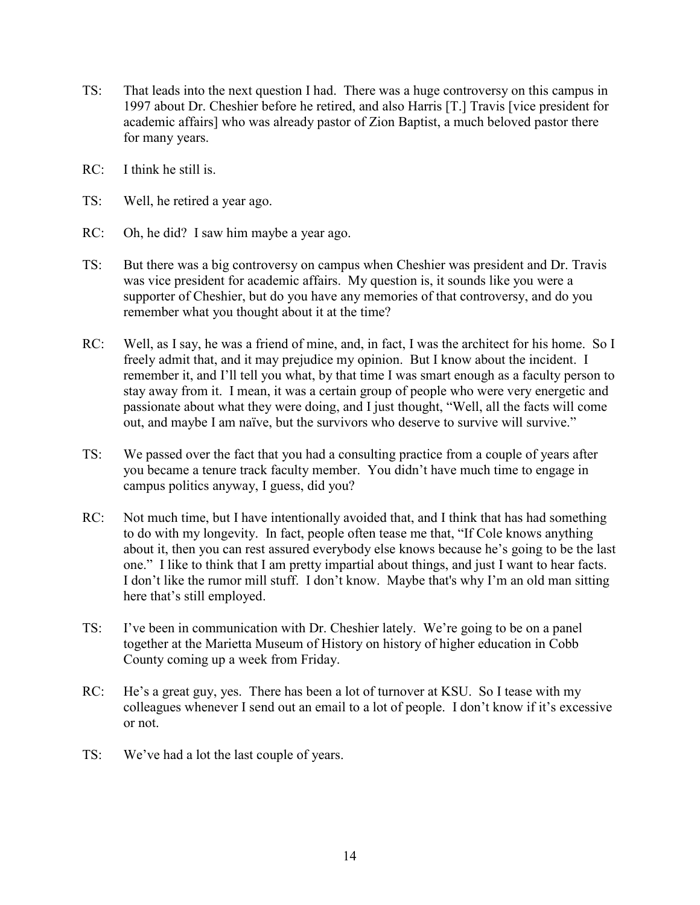- TS: That leads into the next question I had. There was a huge controversy on this campus in 1997 about Dr. Cheshier before he retired, and also Harris [T.] Travis [vice president for academic affairs] who was already pastor of Zion Baptist, a much beloved pastor there for many years.
- RC: I think he still is.
- TS: Well, he retired a year ago.
- RC: Oh, he did? I saw him maybe a year ago.
- TS: But there was a big controversy on campus when Cheshier was president and Dr. Travis was vice president for academic affairs. My question is, it sounds like you were a supporter of Cheshier, but do you have any memories of that controversy, and do you remember what you thought about it at the time?
- RC: Well, as I say, he was a friend of mine, and, in fact, I was the architect for his home. So I freely admit that, and it may prejudice my opinion. But I know about the incident. I remember it, and I'll tell you what, by that time I was smart enough as a faculty person to stay away from it. I mean, it was a certain group of people who were very energetic and passionate about what they were doing, and I just thought, "Well, all the facts will come out, and maybe I am naïve, but the survivors who deserve to survive will survive."
- TS: We passed over the fact that you had a consulting practice from a couple of years after you became a tenure track faculty member. You didn't have much time to engage in campus politics anyway, I guess, did you?
- RC: Not much time, but I have intentionally avoided that, and I think that has had something to do with my longevity. In fact, people often tease me that, "If Cole knows anything about it, then you can rest assured everybody else knows because he's going to be the last one." I like to think that I am pretty impartial about things, and just I want to hear facts. I don't like the rumor mill stuff. I don't know. Maybe that's why I'm an old man sitting here that's still employed.
- TS: I've been in communication with Dr. Cheshier lately. We're going to be on a panel together at the Marietta Museum of History on history of higher education in Cobb County coming up a week from Friday.
- RC: He's a great guy, yes. There has been a lot of turnover at KSU. So I tease with my colleagues whenever I send out an email to a lot of people. I don't know if it's excessive or not.
- TS: We've had a lot the last couple of years.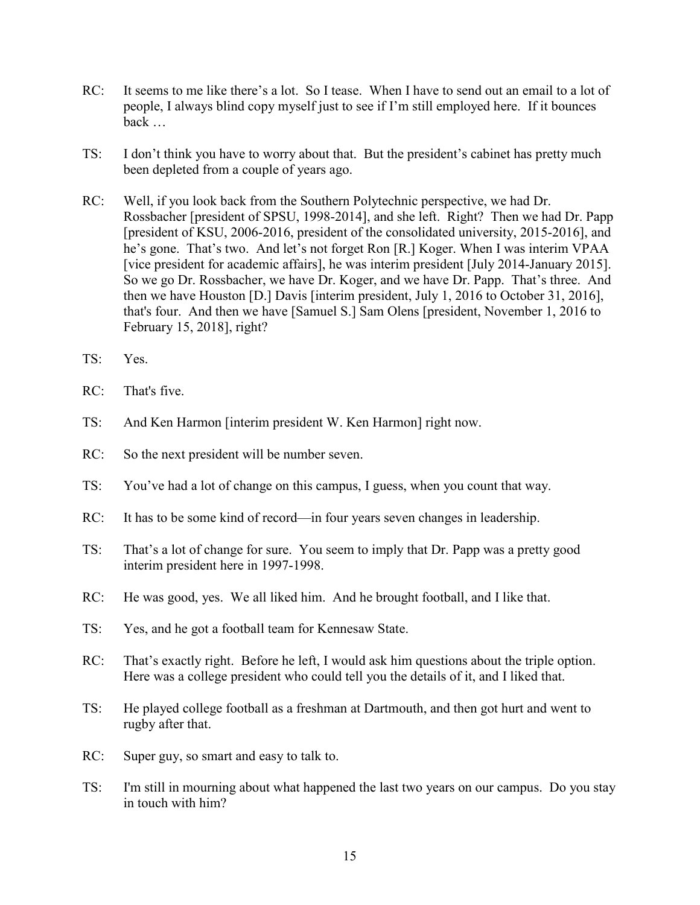- RC: It seems to me like there's a lot. So I tease. When I have to send out an email to a lot of people, I always blind copy myself just to see if I'm still employed here. If it bounces back …
- TS: I don't think you have to worry about that. But the president's cabinet has pretty much been depleted from a couple of years ago.
- RC: Well, if you look back from the Southern Polytechnic perspective, we had Dr. Rossbacher [president of SPSU, 1998-2014], and she left. Right? Then we had Dr. Papp [president of KSU, 2006-2016, president of the consolidated university, 2015-2016], and he's gone. That's two. And let's not forget Ron [R.] Koger. When I was interim VPAA [vice president for academic affairs], he was interim president [July 2014-January 2015]. So we go Dr. Rossbacher, we have Dr. Koger, and we have Dr. Papp. That's three. And then we have Houston [D.] Davis [interim president, July 1, 2016 to October 31, 2016], that's four. And then we have [Samuel S.] Sam Olens [president, November 1, 2016 to February 15, 2018], right?
- TS: Yes.
- RC: That's five.
- TS: And Ken Harmon [interim president W. Ken Harmon] right now.
- RC: So the next president will be number seven.
- TS: You've had a lot of change on this campus, I guess, when you count that way.
- RC: It has to be some kind of record—in four years seven changes in leadership.
- TS: That's a lot of change for sure. You seem to imply that Dr. Papp was a pretty good interim president here in 1997-1998.
- RC: He was good, yes. We all liked him. And he brought football, and I like that.
- TS: Yes, and he got a football team for Kennesaw State.
- RC: That's exactly right. Before he left, I would ask him questions about the triple option. Here was a college president who could tell you the details of it, and I liked that.
- TS: He played college football as a freshman at Dartmouth, and then got hurt and went to rugby after that.
- RC: Super guy, so smart and easy to talk to.
- TS: I'm still in mourning about what happened the last two years on our campus. Do you stay in touch with him?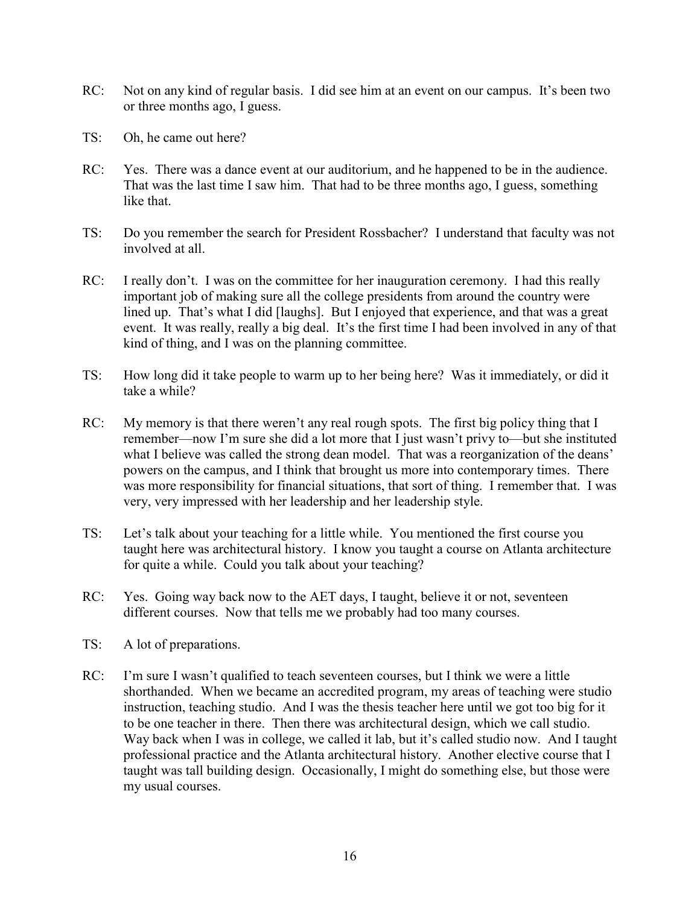- RC: Not on any kind of regular basis. I did see him at an event on our campus. It's been two or three months ago, I guess.
- TS: Oh, he came out here?
- RC: Yes. There was a dance event at our auditorium, and he happened to be in the audience. That was the last time I saw him. That had to be three months ago, I guess, something like that.
- TS: Do you remember the search for President Rossbacher? I understand that faculty was not involved at all.
- RC: I really don't. I was on the committee for her inauguration ceremony. I had this really important job of making sure all the college presidents from around the country were lined up. That's what I did [laughs]. But I enjoyed that experience, and that was a great event. It was really, really a big deal. It's the first time I had been involved in any of that kind of thing, and I was on the planning committee.
- TS: How long did it take people to warm up to her being here? Was it immediately, or did it take a while?
- RC: My memory is that there weren't any real rough spots. The first big policy thing that I remember—now I'm sure she did a lot more that I just wasn't privy to—but she instituted what I believe was called the strong dean model. That was a reorganization of the deans' powers on the campus, and I think that brought us more into contemporary times. There was more responsibility for financial situations, that sort of thing. I remember that. I was very, very impressed with her leadership and her leadership style.
- TS: Let's talk about your teaching for a little while. You mentioned the first course you taught here was architectural history. I know you taught a course on Atlanta architecture for quite a while. Could you talk about your teaching?
- RC: Yes. Going way back now to the AET days, I taught, believe it or not, seventeen different courses. Now that tells me we probably had too many courses.
- TS: A lot of preparations.
- RC: I'm sure I wasn't qualified to teach seventeen courses, but I think we were a little shorthanded. When we became an accredited program, my areas of teaching were studio instruction, teaching studio. And I was the thesis teacher here until we got too big for it to be one teacher in there. Then there was architectural design, which we call studio. Way back when I was in college, we called it lab, but it's called studio now. And I taught professional practice and the Atlanta architectural history. Another elective course that I taught was tall building design. Occasionally, I might do something else, but those were my usual courses.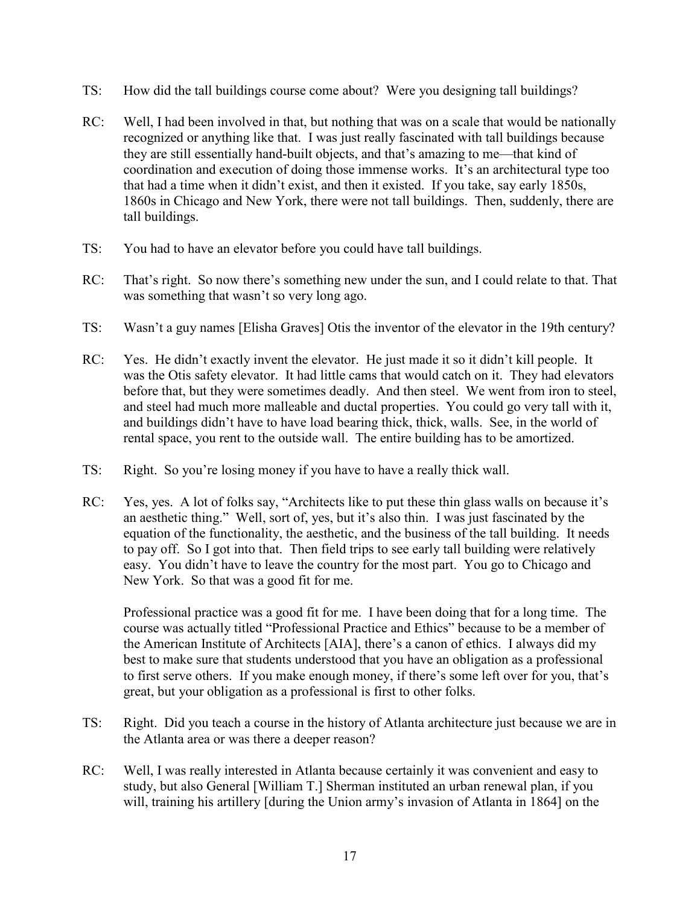- TS: How did the tall buildings course come about? Were you designing tall buildings?
- RC: Well, I had been involved in that, but nothing that was on a scale that would be nationally recognized or anything like that. I was just really fascinated with tall buildings because they are still essentially hand-built objects, and that's amazing to me—that kind of coordination and execution of doing those immense works. It's an architectural type too that had a time when it didn't exist, and then it existed. If you take, say early 1850s, 1860s in Chicago and New York, there were not tall buildings. Then, suddenly, there are tall buildings.
- TS: You had to have an elevator before you could have tall buildings.
- RC: That's right. So now there's something new under the sun, and I could relate to that. That was something that wasn't so very long ago.
- TS: Wasn't a guy names [Elisha Graves] Otis the inventor of the elevator in the 19th century?
- RC: Yes. He didn't exactly invent the elevator. He just made it so it didn't kill people. It was the Otis safety elevator. It had little cams that would catch on it. They had elevators before that, but they were sometimes deadly. And then steel. We went from iron to steel, and steel had much more malleable and ductal properties. You could go very tall with it, and buildings didn't have to have load bearing thick, thick, walls. See, in the world of rental space, you rent to the outside wall. The entire building has to be amortized.
- TS: Right. So you're losing money if you have to have a really thick wall.
- RC: Yes, yes. A lot of folks say, "Architects like to put these thin glass walls on because it's an aesthetic thing." Well, sort of, yes, but it's also thin. I was just fascinated by the equation of the functionality, the aesthetic, and the business of the tall building. It needs to pay off. So I got into that. Then field trips to see early tall building were relatively easy. You didn't have to leave the country for the most part. You go to Chicago and New York. So that was a good fit for me.

Professional practice was a good fit for me. I have been doing that for a long time. The course was actually titled "Professional Practice and Ethics" because to be a member of the American Institute of Architects [AIA], there's a canon of ethics. I always did my best to make sure that students understood that you have an obligation as a professional to first serve others. If you make enough money, if there's some left over for you, that's great, but your obligation as a professional is first to other folks.

- TS: Right. Did you teach a course in the history of Atlanta architecture just because we are in the Atlanta area or was there a deeper reason?
- RC: Well, I was really interested in Atlanta because certainly it was convenient and easy to study, but also General [William T.] Sherman instituted an urban renewal plan, if you will, training his artillery [during the Union army's invasion of Atlanta in 1864] on the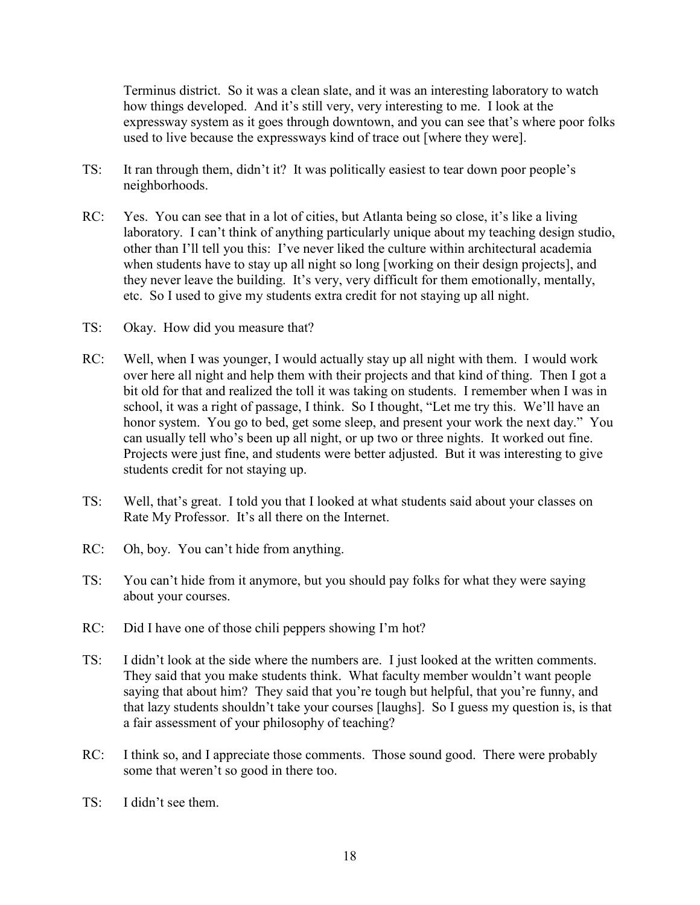Terminus district. So it was a clean slate, and it was an interesting laboratory to watch how things developed. And it's still very, very interesting to me. I look at the expressway system as it goes through downtown, and you can see that's where poor folks used to live because the expressways kind of trace out [where they were].

- TS: It ran through them, didn't it? It was politically easiest to tear down poor people's neighborhoods.
- RC: Yes. You can see that in a lot of cities, but Atlanta being so close, it's like a living laboratory. I can't think of anything particularly unique about my teaching design studio, other than I'll tell you this: I've never liked the culture within architectural academia when students have to stay up all night so long [working on their design projects], and they never leave the building. It's very, very difficult for them emotionally, mentally, etc. So I used to give my students extra credit for not staying up all night.
- TS: Okay. How did you measure that?
- RC: Well, when I was younger, I would actually stay up all night with them. I would work over here all night and help them with their projects and that kind of thing. Then I got a bit old for that and realized the toll it was taking on students. I remember when I was in school, it was a right of passage, I think. So I thought, "Let me try this. We'll have an honor system. You go to bed, get some sleep, and present your work the next day." You can usually tell who's been up all night, or up two or three nights. It worked out fine. Projects were just fine, and students were better adjusted. But it was interesting to give students credit for not staying up.
- TS: Well, that's great. I told you that I looked at what students said about your classes on Rate My Professor. It's all there on the Internet.
- RC: Oh, boy. You can't hide from anything.
- TS: You can't hide from it anymore, but you should pay folks for what they were saying about your courses.
- RC: Did I have one of those chili peppers showing I'm hot?
- TS: I didn't look at the side where the numbers are. I just looked at the written comments. They said that you make students think. What faculty member wouldn't want people saying that about him? They said that you're tough but helpful, that you're funny, and that lazy students shouldn't take your courses [laughs]. So I guess my question is, is that a fair assessment of your philosophy of teaching?
- RC: I think so, and I appreciate those comments. Those sound good. There were probably some that weren't so good in there too.
- TS: I didn't see them.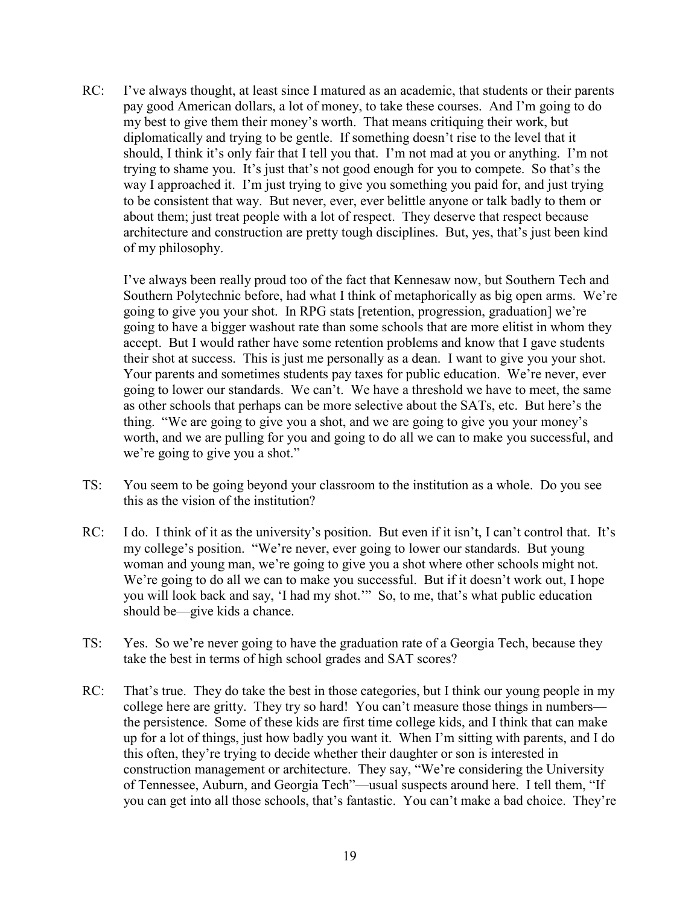RC: I've always thought, at least since I matured as an academic, that students or their parents pay good American dollars, a lot of money, to take these courses. And I'm going to do my best to give them their money's worth. That means critiquing their work, but diplomatically and trying to be gentle. If something doesn't rise to the level that it should, I think it's only fair that I tell you that. I'm not mad at you or anything. I'm not trying to shame you. It's just that's not good enough for you to compete. So that's the way I approached it. I'm just trying to give you something you paid for, and just trying to be consistent that way. But never, ever, ever belittle anyone or talk badly to them or about them; just treat people with a lot of respect. They deserve that respect because architecture and construction are pretty tough disciplines. But, yes, that's just been kind of my philosophy.

I've always been really proud too of the fact that Kennesaw now, but Southern Tech and Southern Polytechnic before, had what I think of metaphorically as big open arms. We're going to give you your shot. In RPG stats [retention, progression, graduation] we're going to have a bigger washout rate than some schools that are more elitist in whom they accept. But I would rather have some retention problems and know that I gave students their shot at success. This is just me personally as a dean. I want to give you your shot. Your parents and sometimes students pay taxes for public education. We're never, ever going to lower our standards. We can't. We have a threshold we have to meet, the same as other schools that perhaps can be more selective about the SATs, etc. But here's the thing. "We are going to give you a shot, and we are going to give you your money's worth, and we are pulling for you and going to do all we can to make you successful, and we're going to give you a shot."

- TS: You seem to be going beyond your classroom to the institution as a whole. Do you see this as the vision of the institution?
- RC: I do. I think of it as the university's position. But even if it isn't, I can't control that. It's my college's position. "We're never, ever going to lower our standards. But young woman and young man, we're going to give you a shot where other schools might not. We're going to do all we can to make you successful. But if it doesn't work out, I hope you will look back and say, 'I had my shot.'" So, to me, that's what public education should be—give kids a chance.
- TS: Yes. So we're never going to have the graduation rate of a Georgia Tech, because they take the best in terms of high school grades and SAT scores?
- RC: That's true. They do take the best in those categories, but I think our young people in my college here are gritty. They try so hard! You can't measure those things in numbers the persistence. Some of these kids are first time college kids, and I think that can make up for a lot of things, just how badly you want it. When I'm sitting with parents, and I do this often, they're trying to decide whether their daughter or son is interested in construction management or architecture. They say, "We're considering the University of Tennessee, Auburn, and Georgia Tech"—usual suspects around here. I tell them, "If you can get into all those schools, that's fantastic. You can't make a bad choice. They're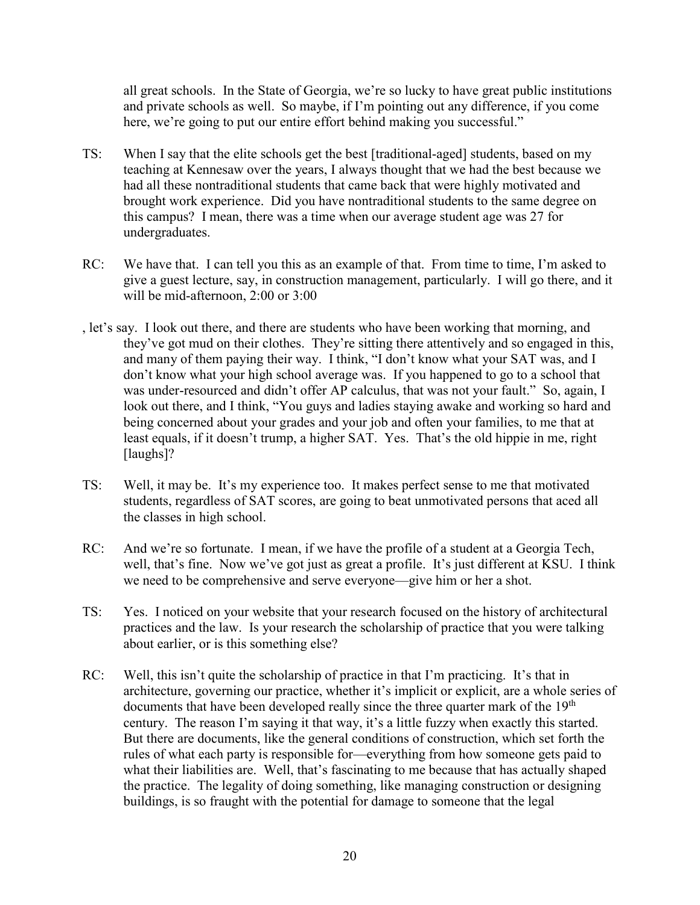all great schools. In the State of Georgia, we're so lucky to have great public institutions and private schools as well. So maybe, if I'm pointing out any difference, if you come here, we're going to put our entire effort behind making you successful."

- TS: When I say that the elite schools get the best [traditional-aged] students, based on my teaching at Kennesaw over the years, I always thought that we had the best because we had all these nontraditional students that came back that were highly motivated and brought work experience. Did you have nontraditional students to the same degree on this campus? I mean, there was a time when our average student age was 27 for undergraduates.
- RC: We have that. I can tell you this as an example of that. From time to time, I'm asked to give a guest lecture, say, in construction management, particularly. I will go there, and it will be mid-afternoon, 2:00 or 3:00
- , let's say. I look out there, and there are students who have been working that morning, and they've got mud on their clothes. They're sitting there attentively and so engaged in this, and many of them paying their way. I think, "I don't know what your SAT was, and I don't know what your high school average was. If you happened to go to a school that was under-resourced and didn't offer AP calculus, that was not your fault." So, again, I look out there, and I think, "You guys and ladies staying awake and working so hard and being concerned about your grades and your job and often your families, to me that at least equals, if it doesn't trump, a higher SAT. Yes. That's the old hippie in me, right [laughs]?
- TS: Well, it may be. It's my experience too. It makes perfect sense to me that motivated students, regardless of SAT scores, are going to beat unmotivated persons that aced all the classes in high school.
- RC: And we're so fortunate. I mean, if we have the profile of a student at a Georgia Tech, well, that's fine. Now we've got just as great a profile. It's just different at KSU. I think we need to be comprehensive and serve everyone—give him or her a shot.
- TS: Yes. I noticed on your website that your research focused on the history of architectural practices and the law. Is your research the scholarship of practice that you were talking about earlier, or is this something else?
- RC: Well, this isn't quite the scholarship of practice in that I'm practicing. It's that in architecture, governing our practice, whether it's implicit or explicit, are a whole series of documents that have been developed really since the three quarter mark of the 19<sup>th</sup> century. The reason I'm saying it that way, it's a little fuzzy when exactly this started. But there are documents, like the general conditions of construction, which set forth the rules of what each party is responsible for—everything from how someone gets paid to what their liabilities are. Well, that's fascinating to me because that has actually shaped the practice. The legality of doing something, like managing construction or designing buildings, is so fraught with the potential for damage to someone that the legal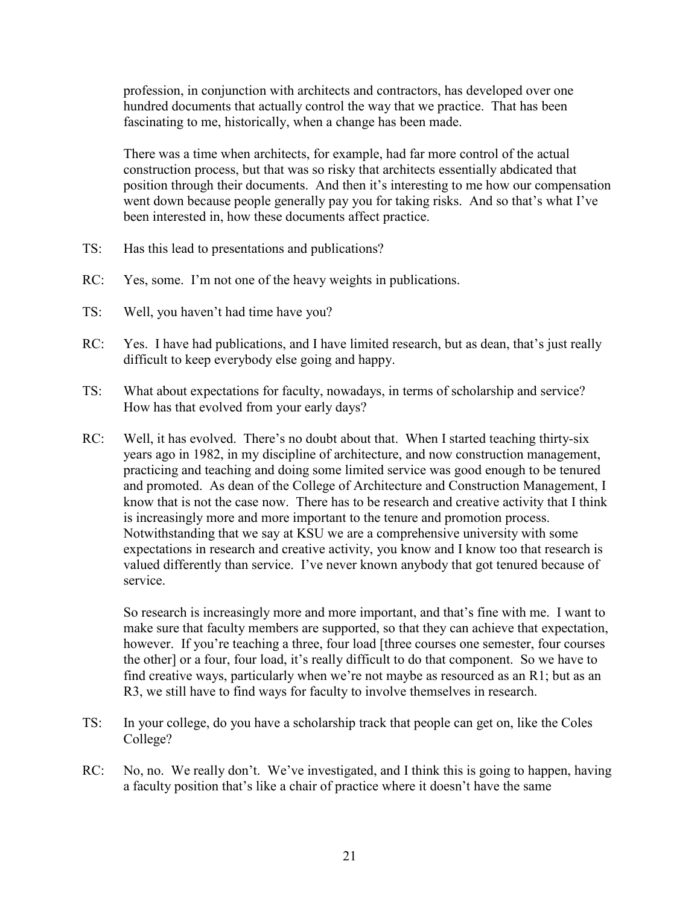profession, in conjunction with architects and contractors, has developed over one hundred documents that actually control the way that we practice. That has been fascinating to me, historically, when a change has been made.

There was a time when architects, for example, had far more control of the actual construction process, but that was so risky that architects essentially abdicated that position through their documents. And then it's interesting to me how our compensation went down because people generally pay you for taking risks. And so that's what I've been interested in, how these documents affect practice.

- TS: Has this lead to presentations and publications?
- RC: Yes, some. I'm not one of the heavy weights in publications.
- TS: Well, you haven't had time have you?
- RC: Yes. I have had publications, and I have limited research, but as dean, that's just really difficult to keep everybody else going and happy.
- TS: What about expectations for faculty, nowadays, in terms of scholarship and service? How has that evolved from your early days?
- RC: Well, it has evolved. There's no doubt about that. When I started teaching thirty-six years ago in 1982, in my discipline of architecture, and now construction management, practicing and teaching and doing some limited service was good enough to be tenured and promoted. As dean of the College of Architecture and Construction Management, I know that is not the case now. There has to be research and creative activity that I think is increasingly more and more important to the tenure and promotion process. Notwithstanding that we say at KSU we are a comprehensive university with some expectations in research and creative activity, you know and I know too that research is valued differently than service. I've never known anybody that got tenured because of service.

So research is increasingly more and more important, and that's fine with me. I want to make sure that faculty members are supported, so that they can achieve that expectation, however. If you're teaching a three, four load [three courses one semester, four courses the other] or a four, four load, it's really difficult to do that component. So we have to find creative ways, particularly when we're not maybe as resourced as an R1; but as an R3, we still have to find ways for faculty to involve themselves in research.

- TS: In your college, do you have a scholarship track that people can get on, like the Coles College?
- RC: No, no. We really don't. We've investigated, and I think this is going to happen, having a faculty position that's like a chair of practice where it doesn't have the same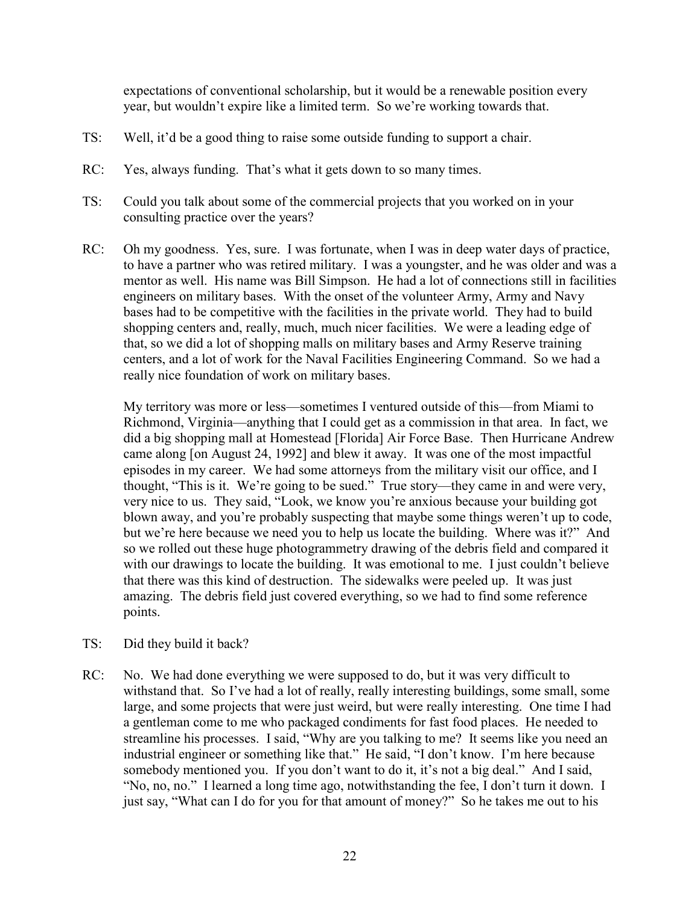expectations of conventional scholarship, but it would be a renewable position every year, but wouldn't expire like a limited term. So we're working towards that.

- TS: Well, it'd be a good thing to raise some outside funding to support a chair.
- RC: Yes, always funding. That's what it gets down to so many times.
- TS: Could you talk about some of the commercial projects that you worked on in your consulting practice over the years?
- RC: Oh my goodness. Yes, sure. I was fortunate, when I was in deep water days of practice, to have a partner who was retired military. I was a youngster, and he was older and was a mentor as well. His name was Bill Simpson. He had a lot of connections still in facilities engineers on military bases. With the onset of the volunteer Army, Army and Navy bases had to be competitive with the facilities in the private world. They had to build shopping centers and, really, much, much nicer facilities. We were a leading edge of that, so we did a lot of shopping malls on military bases and Army Reserve training centers, and a lot of work for the Naval Facilities Engineering Command. So we had a really nice foundation of work on military bases.

My territory was more or less—sometimes I ventured outside of this—from Miami to Richmond, Virginia—anything that I could get as a commission in that area. In fact, we did a big shopping mall at Homestead [Florida] Air Force Base. Then Hurricane Andrew came along [on August 24, 1992] and blew it away. It was one of the most impactful episodes in my career. We had some attorneys from the military visit our office, and I thought, "This is it. We're going to be sued." True story—they came in and were very, very nice to us. They said, "Look, we know you're anxious because your building got blown away, and you're probably suspecting that maybe some things weren't up to code, but we're here because we need you to help us locate the building. Where was it?" And so we rolled out these huge photogrammetry drawing of the debris field and compared it with our drawings to locate the building. It was emotional to me. I just couldn't believe that there was this kind of destruction. The sidewalks were peeled up. It was just amazing. The debris field just covered everything, so we had to find some reference points.

- TS: Did they build it back?
- RC: No. We had done everything we were supposed to do, but it was very difficult to withstand that. So I've had a lot of really, really interesting buildings, some small, some large, and some projects that were just weird, but were really interesting. One time I had a gentleman come to me who packaged condiments for fast food places. He needed to streamline his processes. I said, "Why are you talking to me? It seems like you need an industrial engineer or something like that." He said, "I don't know. I'm here because somebody mentioned you. If you don't want to do it, it's not a big deal." And I said, "No, no, no." I learned a long time ago, notwithstanding the fee, I don't turn it down. I just say, "What can I do for you for that amount of money?" So he takes me out to his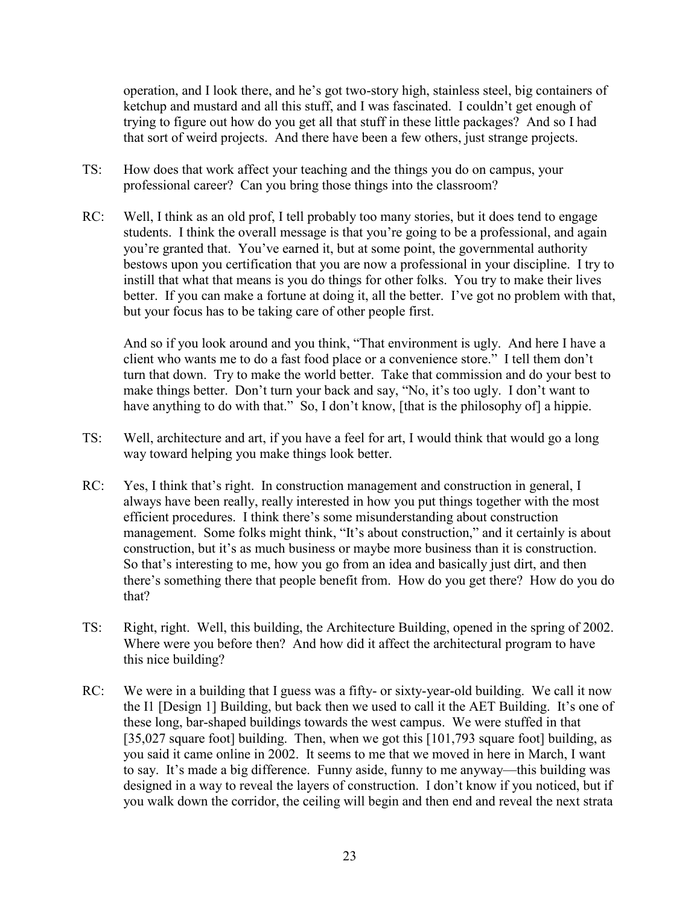operation, and I look there, and he's got two-story high, stainless steel, big containers of ketchup and mustard and all this stuff, and I was fascinated. I couldn't get enough of trying to figure out how do you get all that stuff in these little packages? And so I had that sort of weird projects. And there have been a few others, just strange projects.

- TS: How does that work affect your teaching and the things you do on campus, your professional career? Can you bring those things into the classroom?
- RC: Well, I think as an old prof, I tell probably too many stories, but it does tend to engage students. I think the overall message is that you're going to be a professional, and again you're granted that. You've earned it, but at some point, the governmental authority bestows upon you certification that you are now a professional in your discipline. I try to instill that what that means is you do things for other folks. You try to make their lives better. If you can make a fortune at doing it, all the better. I've got no problem with that, but your focus has to be taking care of other people first.

And so if you look around and you think, "That environment is ugly. And here I have a client who wants me to do a fast food place or a convenience store." I tell them don't turn that down. Try to make the world better. Take that commission and do your best to make things better. Don't turn your back and say, "No, it's too ugly. I don't want to have anything to do with that." So, I don't know, [that is the philosophy of] a hippie.

- TS: Well, architecture and art, if you have a feel for art, I would think that would go a long way toward helping you make things look better.
- RC: Yes, I think that's right. In construction management and construction in general, I always have been really, really interested in how you put things together with the most efficient procedures. I think there's some misunderstanding about construction management. Some folks might think, "It's about construction," and it certainly is about construction, but it's as much business or maybe more business than it is construction. So that's interesting to me, how you go from an idea and basically just dirt, and then there's something there that people benefit from. How do you get there? How do you do that?
- TS: Right, right. Well, this building, the Architecture Building, opened in the spring of 2002. Where were you before then? And how did it affect the architectural program to have this nice building?
- RC: We were in a building that I guess was a fifty- or sixty-year-old building. We call it now the I1 [Design 1] Building, but back then we used to call it the AET Building. It's one of these long, bar-shaped buildings towards the west campus. We were stuffed in that [35,027 square foot] building. Then, when we got this [101,793 square foot] building, as you said it came online in 2002. It seems to me that we moved in here in March, I want to say. It's made a big difference. Funny aside, funny to me anyway—this building was designed in a way to reveal the layers of construction. I don't know if you noticed, but if you walk down the corridor, the ceiling will begin and then end and reveal the next strata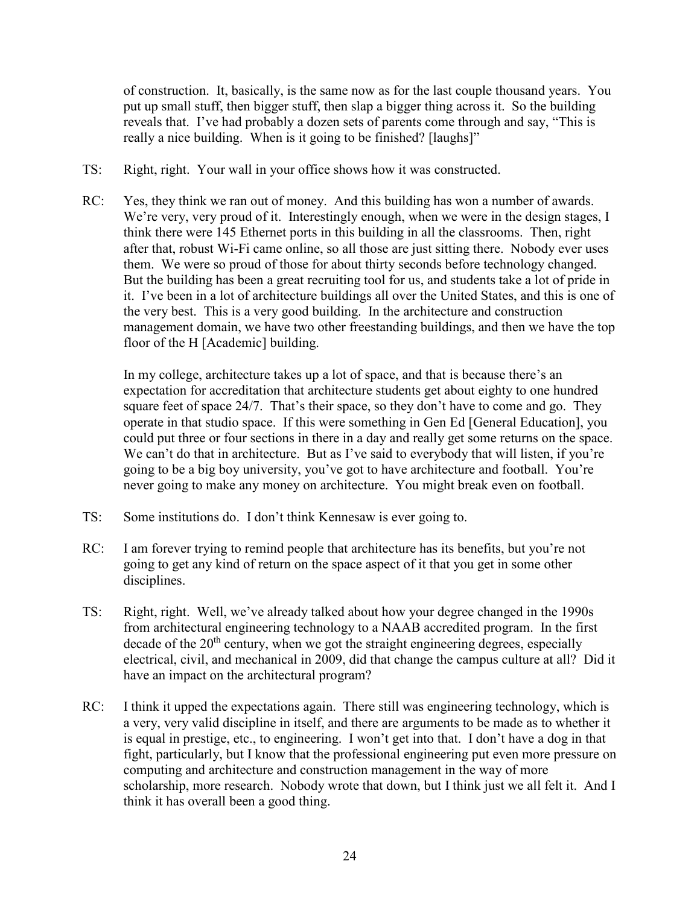of construction. It, basically, is the same now as for the last couple thousand years. You put up small stuff, then bigger stuff, then slap a bigger thing across it. So the building reveals that. I've had probably a dozen sets of parents come through and say, "This is really a nice building. When is it going to be finished? [laughs]"

- TS: Right, right. Your wall in your office shows how it was constructed.
- RC: Yes, they think we ran out of money. And this building has won a number of awards. We're very, very proud of it. Interestingly enough, when we were in the design stages, I think there were 145 Ethernet ports in this building in all the classrooms. Then, right after that, robust Wi-Fi came online, so all those are just sitting there. Nobody ever uses them. We were so proud of those for about thirty seconds before technology changed. But the building has been a great recruiting tool for us, and students take a lot of pride in it. I've been in a lot of architecture buildings all over the United States, and this is one of the very best. This is a very good building. In the architecture and construction management domain, we have two other freestanding buildings, and then we have the top floor of the H [Academic] building.

In my college, architecture takes up a lot of space, and that is because there's an expectation for accreditation that architecture students get about eighty to one hundred square feet of space 24/7. That's their space, so they don't have to come and go. They operate in that studio space. If this were something in Gen Ed [General Education], you could put three or four sections in there in a day and really get some returns on the space. We can't do that in architecture. But as I've said to everybody that will listen, if you're going to be a big boy university, you've got to have architecture and football. You're never going to make any money on architecture. You might break even on football.

- TS: Some institutions do. I don't think Kennesaw is ever going to.
- RC: I am forever trying to remind people that architecture has its benefits, but you're not going to get any kind of return on the space aspect of it that you get in some other disciplines.
- TS: Right, right. Well, we've already talked about how your degree changed in the 1990s from architectural engineering technology to a NAAB accredited program. In the first decade of the  $20<sup>th</sup>$  century, when we got the straight engineering degrees, especially electrical, civil, and mechanical in 2009, did that change the campus culture at all? Did it have an impact on the architectural program?
- RC: I think it upped the expectations again. There still was engineering technology, which is a very, very valid discipline in itself, and there are arguments to be made as to whether it is equal in prestige, etc., to engineering. I won't get into that. I don't have a dog in that fight, particularly, but I know that the professional engineering put even more pressure on computing and architecture and construction management in the way of more scholarship, more research. Nobody wrote that down, but I think just we all felt it. And I think it has overall been a good thing.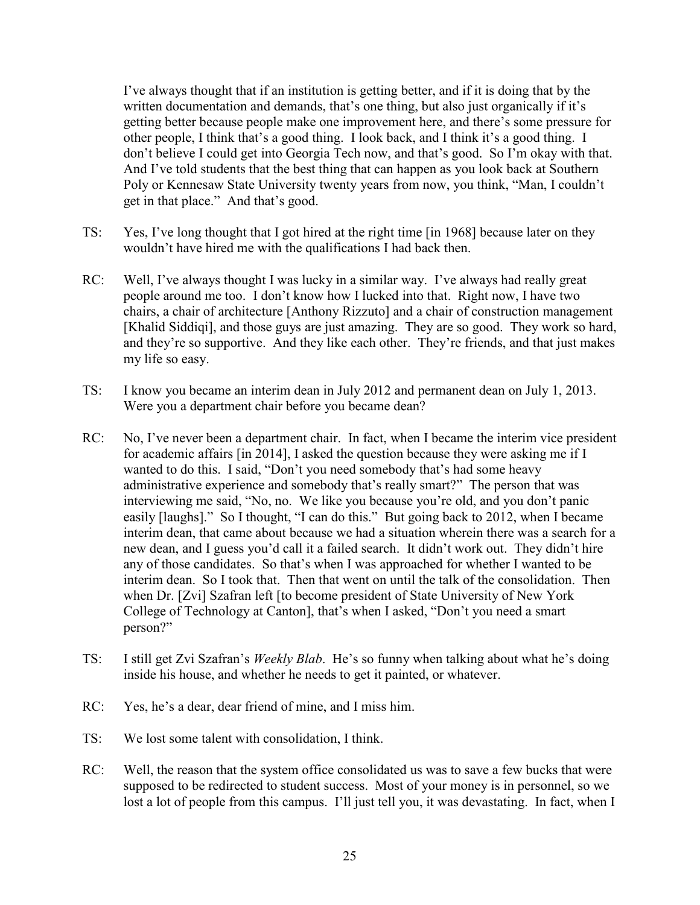I've always thought that if an institution is getting better, and if it is doing that by the written documentation and demands, that's one thing, but also just organically if it's getting better because people make one improvement here, and there's some pressure for other people, I think that's a good thing. I look back, and I think it's a good thing. I don't believe I could get into Georgia Tech now, and that's good. So I'm okay with that. And I've told students that the best thing that can happen as you look back at Southern Poly or Kennesaw State University twenty years from now, you think, "Man, I couldn't get in that place." And that's good.

- TS: Yes, I've long thought that I got hired at the right time [in 1968] because later on they wouldn't have hired me with the qualifications I had back then.
- RC: Well, I've always thought I was lucky in a similar way. I've always had really great people around me too. I don't know how I lucked into that. Right now, I have two chairs, a chair of architecture [Anthony Rizzuto] and a chair of construction management [Khalid Siddiqi], and those guys are just amazing. They are so good. They work so hard, and they're so supportive. And they like each other. They're friends, and that just makes my life so easy.
- TS: I know you became an interim dean in July 2012 and permanent dean on July 1, 2013. Were you a department chair before you became dean?
- RC: No, I've never been a department chair. In fact, when I became the interim vice president for academic affairs [in 2014], I asked the question because they were asking me if I wanted to do this. I said, "Don't you need somebody that's had some heavy administrative experience and somebody that's really smart?" The person that was interviewing me said, "No, no. We like you because you're old, and you don't panic easily [laughs]." So I thought, "I can do this." But going back to 2012, when I became interim dean, that came about because we had a situation wherein there was a search for a new dean, and I guess you'd call it a failed search. It didn't work out. They didn't hire any of those candidates. So that's when I was approached for whether I wanted to be interim dean. So I took that. Then that went on until the talk of the consolidation. Then when Dr. [Zvi] Szafran left [to become president of State University of New York College of Technology at Canton], that's when I asked, "Don't you need a smart person?"
- TS: I still get Zvi Szafran's *Weekly Blab*. He's so funny when talking about what he's doing inside his house, and whether he needs to get it painted, or whatever.
- RC: Yes, he's a dear, dear friend of mine, and I miss him.
- TS: We lost some talent with consolidation, I think.
- RC: Well, the reason that the system office consolidated us was to save a few bucks that were supposed to be redirected to student success. Most of your money is in personnel, so we lost a lot of people from this campus. I'll just tell you, it was devastating. In fact, when I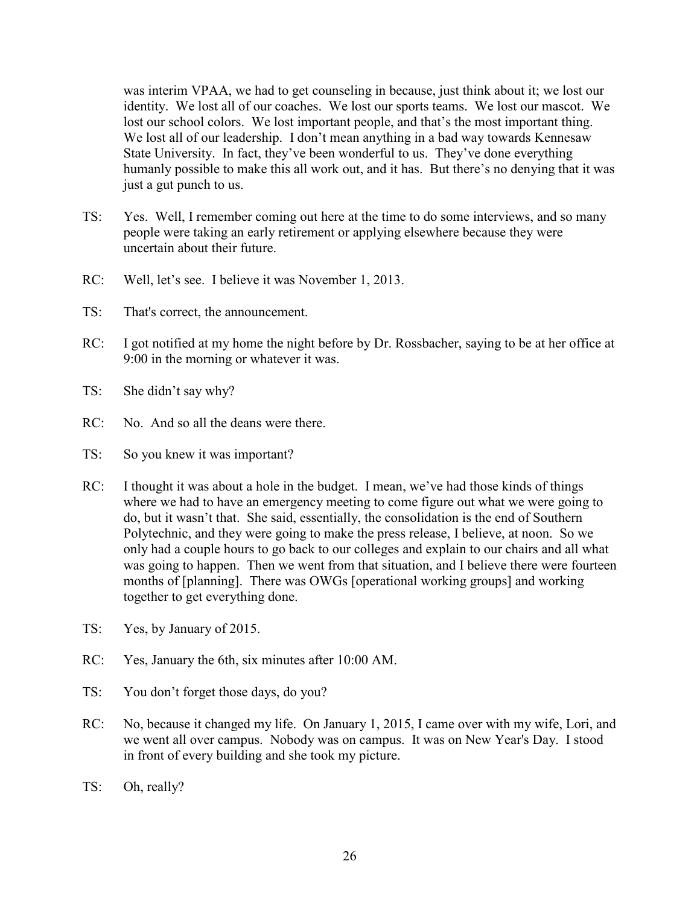was interim VPAA, we had to get counseling in because, just think about it; we lost our identity. We lost all of our coaches. We lost our sports teams. We lost our mascot. We lost our school colors. We lost important people, and that's the most important thing. We lost all of our leadership. I don't mean anything in a bad way towards Kennesaw State University. In fact, they've been wonderful to us. They've done everything humanly possible to make this all work out, and it has. But there's no denying that it was just a gut punch to us.

- TS: Yes. Well, I remember coming out here at the time to do some interviews, and so many people were taking an early retirement or applying elsewhere because they were uncertain about their future.
- RC: Well, let's see. I believe it was November 1, 2013.
- TS: That's correct, the announcement.
- RC: I got notified at my home the night before by Dr. Rossbacher, saying to be at her office at 9:00 in the morning or whatever it was.
- TS: She didn't say why?
- RC: No. And so all the deans were there.
- TS: So you knew it was important?
- RC: I thought it was about a hole in the budget. I mean, we've had those kinds of things where we had to have an emergency meeting to come figure out what we were going to do, but it wasn't that. She said, essentially, the consolidation is the end of Southern Polytechnic, and they were going to make the press release, I believe, at noon. So we only had a couple hours to go back to our colleges and explain to our chairs and all what was going to happen. Then we went from that situation, and I believe there were fourteen months of [planning]. There was OWGs [operational working groups] and working together to get everything done.
- TS: Yes, by January of 2015.
- RC: Yes, January the 6th, six minutes after 10:00 AM.
- TS: You don't forget those days, do you?
- RC: No, because it changed my life. On January 1, 2015, I came over with my wife, Lori, and we went all over campus. Nobody was on campus. It was on New Year's Day. I stood in front of every building and she took my picture.
- TS: Oh, really?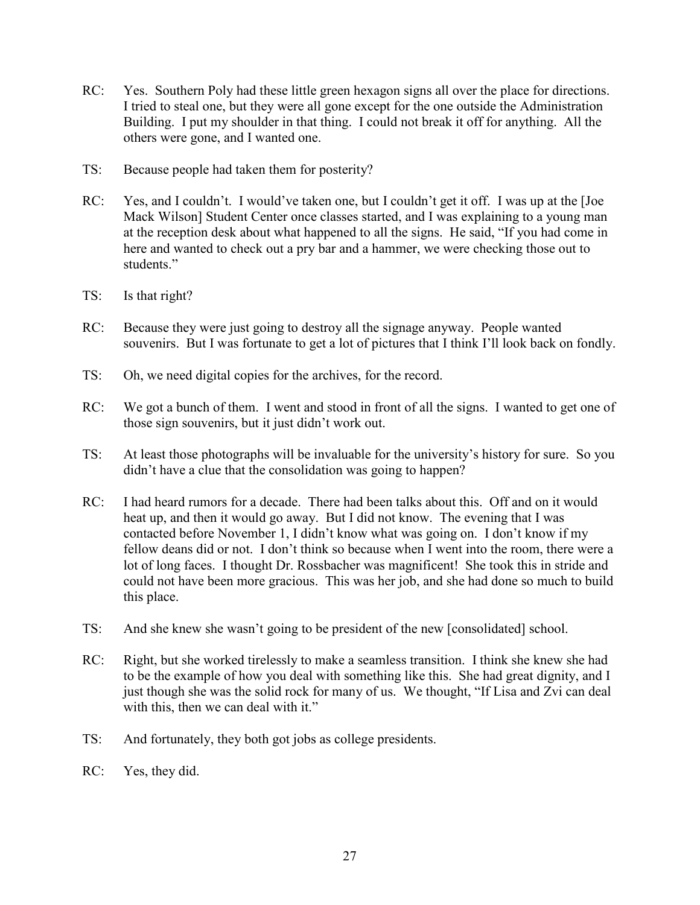- RC: Yes. Southern Poly had these little green hexagon signs all over the place for directions. I tried to steal one, but they were all gone except for the one outside the Administration Building. I put my shoulder in that thing. I could not break it off for anything. All the others were gone, and I wanted one.
- TS: Because people had taken them for posterity?
- RC: Yes, and I couldn't. I would've taken one, but I couldn't get it off. I was up at the [Joe Mack Wilson] Student Center once classes started, and I was explaining to a young man at the reception desk about what happened to all the signs. He said, "If you had come in here and wanted to check out a pry bar and a hammer, we were checking those out to students."
- TS: Is that right?
- RC: Because they were just going to destroy all the signage anyway. People wanted souvenirs. But I was fortunate to get a lot of pictures that I think I'll look back on fondly.
- TS: Oh, we need digital copies for the archives, for the record.
- RC: We got a bunch of them. I went and stood in front of all the signs. I wanted to get one of those sign souvenirs, but it just didn't work out.
- TS: At least those photographs will be invaluable for the university's history for sure. So you didn't have a clue that the consolidation was going to happen?
- RC: I had heard rumors for a decade. There had been talks about this. Off and on it would heat up, and then it would go away. But I did not know. The evening that I was contacted before November 1, I didn't know what was going on. I don't know if my fellow deans did or not. I don't think so because when I went into the room, there were a lot of long faces. I thought Dr. Rossbacher was magnificent! She took this in stride and could not have been more gracious. This was her job, and she had done so much to build this place.
- TS: And she knew she wasn't going to be president of the new [consolidated] school.
- RC: Right, but she worked tirelessly to make a seamless transition. I think she knew she had to be the example of how you deal with something like this. She had great dignity, and I just though she was the solid rock for many of us. We thought, "If Lisa and Zvi can deal with this, then we can deal with it."
- TS: And fortunately, they both got jobs as college presidents.
- RC: Yes, they did.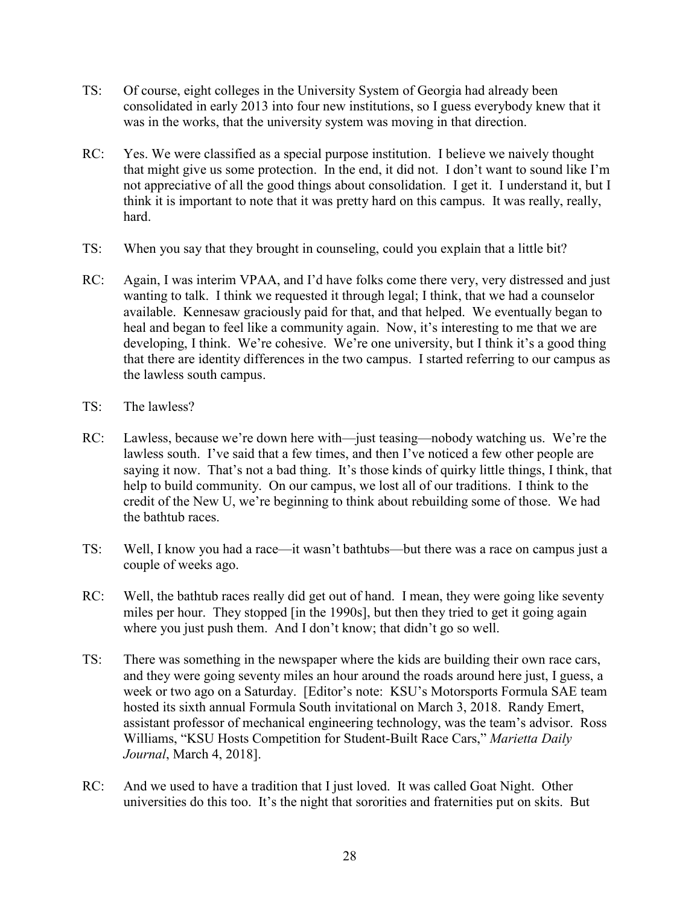- TS: Of course, eight colleges in the University System of Georgia had already been consolidated in early 2013 into four new institutions, so I guess everybody knew that it was in the works, that the university system was moving in that direction.
- RC: Yes. We were classified as a special purpose institution. I believe we naively thought that might give us some protection. In the end, it did not. I don't want to sound like I'm not appreciative of all the good things about consolidation. I get it. I understand it, but I think it is important to note that it was pretty hard on this campus. It was really, really, hard.
- TS: When you say that they brought in counseling, could you explain that a little bit?
- RC: Again, I was interim VPAA, and I'd have folks come there very, very distressed and just wanting to talk. I think we requested it through legal; I think, that we had a counselor available. Kennesaw graciously paid for that, and that helped. We eventually began to heal and began to feel like a community again. Now, it's interesting to me that we are developing, I think. We're cohesive. We're one university, but I think it's a good thing that there are identity differences in the two campus. I started referring to our campus as the lawless south campus.
- TS: The lawless?
- RC: Lawless, because we're down here with—just teasing—nobody watching us. We're the lawless south. I've said that a few times, and then I've noticed a few other people are saying it now. That's not a bad thing. It's those kinds of quirky little things, I think, that help to build community. On our campus, we lost all of our traditions. I think to the credit of the New U, we're beginning to think about rebuilding some of those. We had the bathtub races.
- TS: Well, I know you had a race—it wasn't bathtubs—but there was a race on campus just a couple of weeks ago.
- RC: Well, the bathtub races really did get out of hand. I mean, they were going like seventy miles per hour. They stopped [in the 1990s], but then they tried to get it going again where you just push them. And I don't know; that didn't go so well.
- TS: There was something in the newspaper where the kids are building their own race cars, and they were going seventy miles an hour around the roads around here just, I guess, a week or two ago on a Saturday. [Editor's note: KSU's Motorsports Formula SAE team hosted its sixth annual Formula South invitational on March 3, 2018. Randy Emert, assistant professor of mechanical engineering technology, was the team's advisor. Ross Williams, "KSU Hosts Competition for Student-Built Race Cars," *Marietta Daily Journal*, March 4, 2018].
- RC: And we used to have a tradition that I just loved. It was called Goat Night. Other universities do this too. It's the night that sororities and fraternities put on skits. But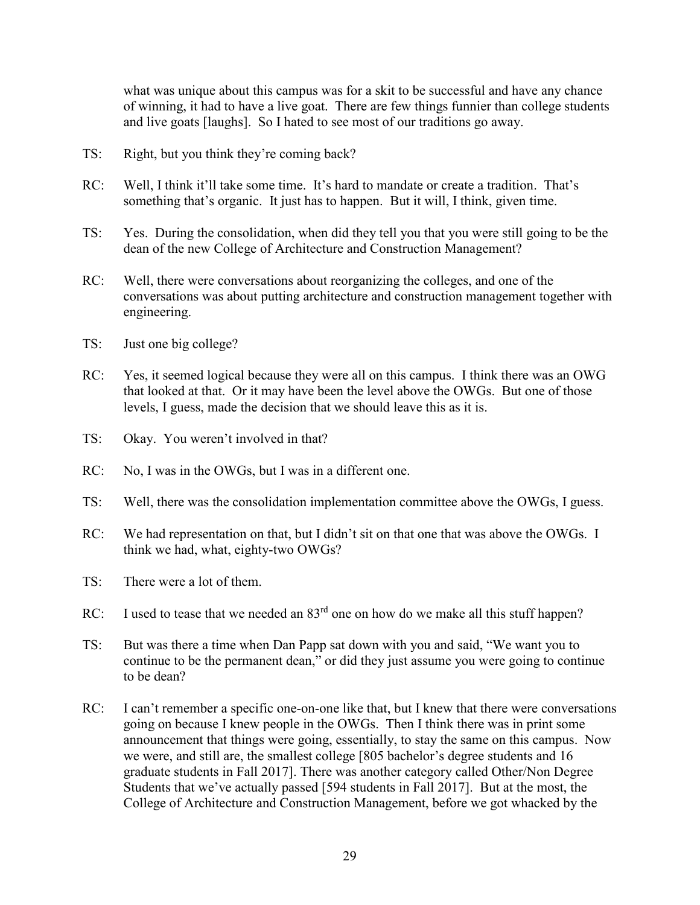what was unique about this campus was for a skit to be successful and have any chance of winning, it had to have a live goat. There are few things funnier than college students and live goats [laughs]. So I hated to see most of our traditions go away.

- TS: Right, but you think they're coming back?
- RC: Well, I think it'll take some time. It's hard to mandate or create a tradition. That's something that's organic. It just has to happen. But it will, I think, given time.
- TS: Yes. During the consolidation, when did they tell you that you were still going to be the dean of the new College of Architecture and Construction Management?
- RC: Well, there were conversations about reorganizing the colleges, and one of the conversations was about putting architecture and construction management together with engineering.
- TS: Just one big college?
- RC: Yes, it seemed logical because they were all on this campus. I think there was an OWG that looked at that. Or it may have been the level above the OWGs. But one of those levels, I guess, made the decision that we should leave this as it is.
- TS: Okay. You weren't involved in that?
- RC: No, I was in the OWGs, but I was in a different one.
- TS: Well, there was the consolidation implementation committee above the OWGs, I guess.
- RC: We had representation on that, but I didn't sit on that one that was above the OWGs. I think we had, what, eighty-two OWGs?
- TS: There were a lot of them.
- RC: I used to tease that we needed an  $83<sup>rd</sup>$  one on how do we make all this stuff happen?
- TS: But was there a time when Dan Papp sat down with you and said, "We want you to continue to be the permanent dean," or did they just assume you were going to continue to be dean?
- RC: I can't remember a specific one-on-one like that, but I knew that there were conversations going on because I knew people in the OWGs. Then I think there was in print some announcement that things were going, essentially, to stay the same on this campus. Now we were, and still are, the smallest college [805 bachelor's degree students and 16 graduate students in Fall 2017]. There was another category called Other/Non Degree Students that we've actually passed [594 students in Fall 2017]. But at the most, the College of Architecture and Construction Management, before we got whacked by the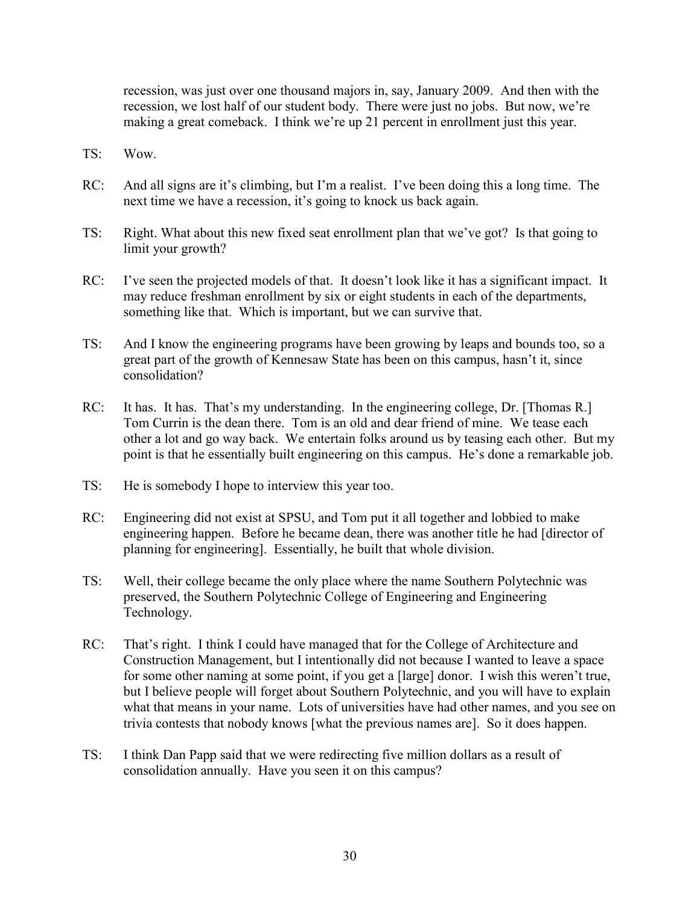recession, was just over one thousand majors in, say, January 2009. And then with the recession, we lost half of our student body. There were just no jobs. But now, we're making a great comeback. I think we're up 21 percent in enrollment just this year.

- TS: Wow.
- RC: And all signs are it's climbing, but I'm a realist. I've been doing this a long time. The next time we have a recession, it's going to knock us back again.
- TS: Right. What about this new fixed seat enrollment plan that we've got? Is that going to limit your growth?
- RC: I've seen the projected models of that. It doesn't look like it has a significant impact. It may reduce freshman enrollment by six or eight students in each of the departments, something like that. Which is important, but we can survive that.
- TS: And I know the engineering programs have been growing by leaps and bounds too, so a great part of the growth of Kennesaw State has been on this campus, hasn't it, since consolidation?
- RC: It has. It has. That's my understanding. In the engineering college, Dr. [Thomas R.] Tom Currin is the dean there. Tom is an old and dear friend of mine. We tease each other a lot and go way back. We entertain folks around us by teasing each other. But my point is that he essentially built engineering on this campus. He's done a remarkable job.
- TS: He is somebody I hope to interview this year too.
- RC: Engineering did not exist at SPSU, and Tom put it all together and lobbied to make engineering happen. Before he became dean, there was another title he had [director of planning for engineering]. Essentially, he built that whole division.
- TS: Well, their college became the only place where the name Southern Polytechnic was preserved, the Southern Polytechnic College of Engineering and Engineering Technology.
- RC: That's right. I think I could have managed that for the College of Architecture and Construction Management, but I intentionally did not because I wanted to leave a space for some other naming at some point, if you get a [large] donor. I wish this weren't true, but I believe people will forget about Southern Polytechnic, and you will have to explain what that means in your name. Lots of universities have had other names, and you see on trivia contests that nobody knows [what the previous names are]. So it does happen.
- TS: I think Dan Papp said that we were redirecting five million dollars as a result of consolidation annually. Have you seen it on this campus?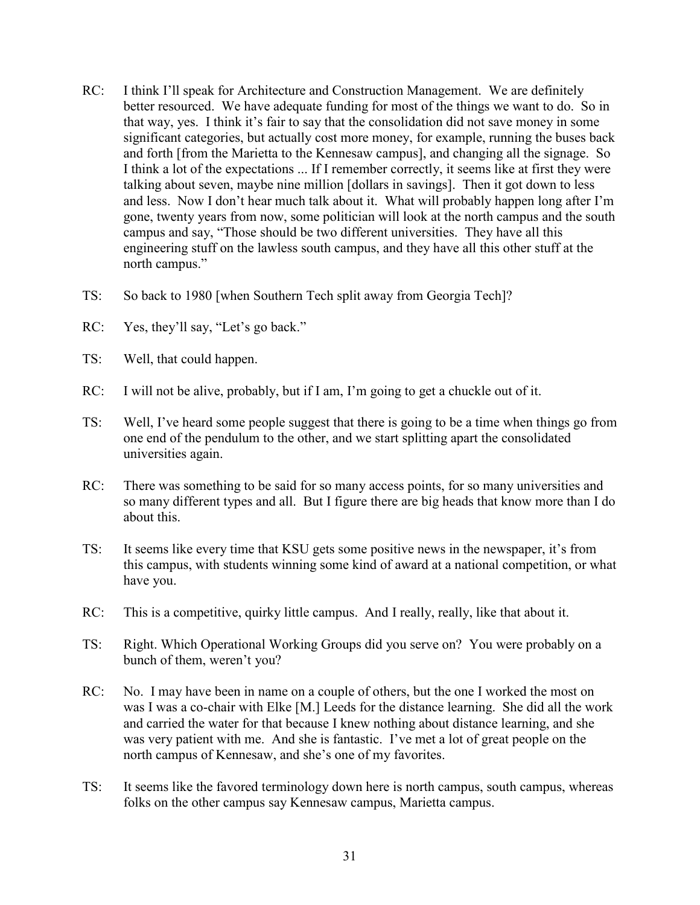- RC: I think I'll speak for Architecture and Construction Management. We are definitely better resourced. We have adequate funding for most of the things we want to do. So in that way, yes. I think it's fair to say that the consolidation did not save money in some significant categories, but actually cost more money, for example, running the buses back and forth [from the Marietta to the Kennesaw campus], and changing all the signage. So I think a lot of the expectations ... If I remember correctly, it seems like at first they were talking about seven, maybe nine million [dollars in savings]. Then it got down to less and less. Now I don't hear much talk about it. What will probably happen long after I'm gone, twenty years from now, some politician will look at the north campus and the south campus and say, "Those should be two different universities. They have all this engineering stuff on the lawless south campus, and they have all this other stuff at the north campus."
- TS: So back to 1980 [when Southern Tech split away from Georgia Tech]?
- RC: Yes, they'll say, "Let's go back."
- TS: Well, that could happen.
- RC: I will not be alive, probably, but if I am, I'm going to get a chuckle out of it.
- TS: Well, I've heard some people suggest that there is going to be a time when things go from one end of the pendulum to the other, and we start splitting apart the consolidated universities again.
- RC: There was something to be said for so many access points, for so many universities and so many different types and all. But I figure there are big heads that know more than I do about this.
- TS: It seems like every time that KSU gets some positive news in the newspaper, it's from this campus, with students winning some kind of award at a national competition, or what have you.
- RC: This is a competitive, quirky little campus. And I really, really, like that about it.
- TS: Right. Which Operational Working Groups did you serve on? You were probably on a bunch of them, weren't you?
- RC: No. I may have been in name on a couple of others, but the one I worked the most on was I was a co-chair with Elke [M.] Leeds for the distance learning. She did all the work and carried the water for that because I knew nothing about distance learning, and she was very patient with me. And she is fantastic. I've met a lot of great people on the north campus of Kennesaw, and she's one of my favorites.
- TS: It seems like the favored terminology down here is north campus, south campus, whereas folks on the other campus say Kennesaw campus, Marietta campus.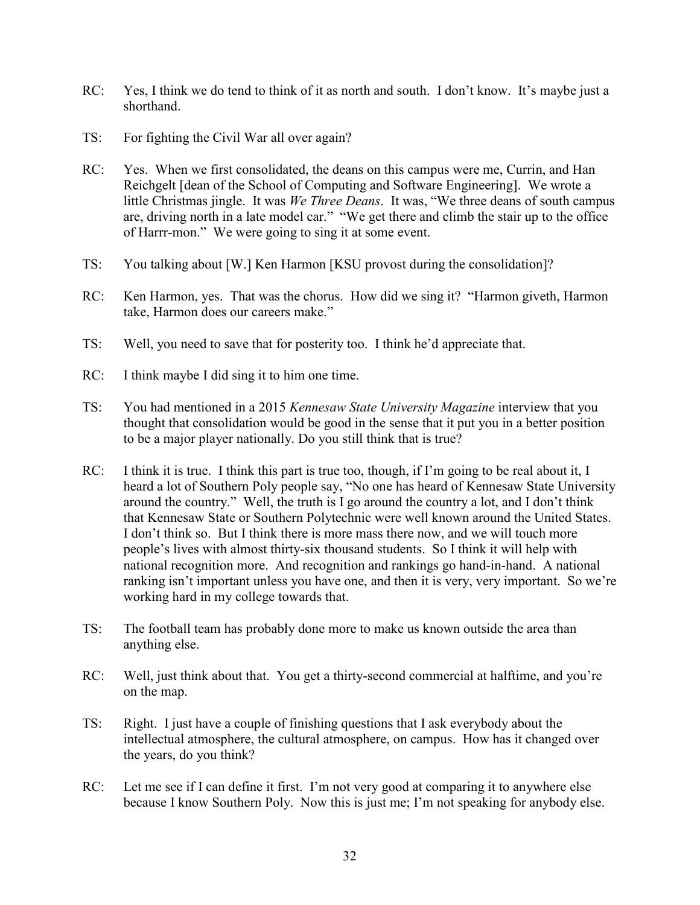- RC: Yes, I think we do tend to think of it as north and south. I don't know. It's maybe just a shorthand.
- TS: For fighting the Civil War all over again?
- RC: Yes. When we first consolidated, the deans on this campus were me, Currin, and Han Reichgelt [dean of the School of Computing and Software Engineering]. We wrote a little Christmas jingle. It was *We Three Deans*. It was, "We three deans of south campus are, driving north in a late model car." "We get there and climb the stair up to the office of Harrr-mon." We were going to sing it at some event.
- TS: You talking about [W.] Ken Harmon [KSU provost during the consolidation]?
- RC: Ken Harmon, yes. That was the chorus. How did we sing it? "Harmon giveth, Harmon take, Harmon does our careers make."
- TS: Well, you need to save that for posterity too. I think he'd appreciate that.
- RC: I think maybe I did sing it to him one time.
- TS: You had mentioned in a 2015 *Kennesaw State University Magazine* interview that you thought that consolidation would be good in the sense that it put you in a better position to be a major player nationally. Do you still think that is true?
- RC: I think it is true. I think this part is true too, though, if I'm going to be real about it, I heard a lot of Southern Poly people say, "No one has heard of Kennesaw State University around the country." Well, the truth is I go around the country a lot, and I don't think that Kennesaw State or Southern Polytechnic were well known around the United States. I don't think so. But I think there is more mass there now, and we will touch more people's lives with almost thirty-six thousand students. So I think it will help with national recognition more. And recognition and rankings go hand-in-hand. A national ranking isn't important unless you have one, and then it is very, very important. So we're working hard in my college towards that.
- TS: The football team has probably done more to make us known outside the area than anything else.
- RC: Well, just think about that. You get a thirty-second commercial at halftime, and you're on the map.
- TS: Right. I just have a couple of finishing questions that I ask everybody about the intellectual atmosphere, the cultural atmosphere, on campus. How has it changed over the years, do you think?
- RC: Let me see if I can define it first. I'm not very good at comparing it to anywhere else because I know Southern Poly. Now this is just me; I'm not speaking for anybody else.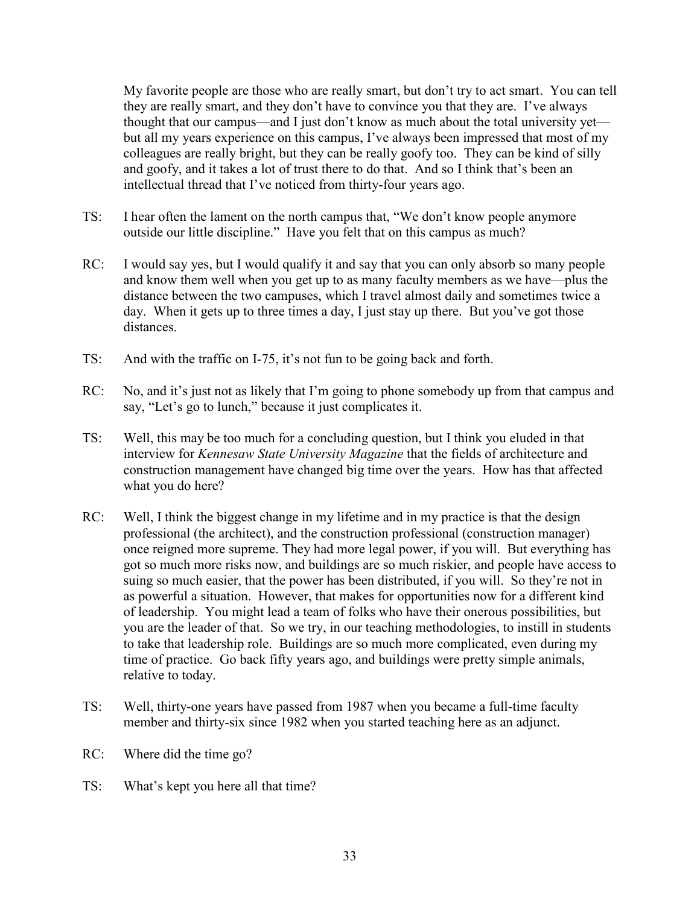My favorite people are those who are really smart, but don't try to act smart. You can tell they are really smart, and they don't have to convince you that they are. I've always thought that our campus—and I just don't know as much about the total university yet but all my years experience on this campus, I've always been impressed that most of my colleagues are really bright, but they can be really goofy too. They can be kind of silly and goofy, and it takes a lot of trust there to do that. And so I think that's been an intellectual thread that I've noticed from thirty-four years ago.

- TS: I hear often the lament on the north campus that, "We don't know people anymore outside our little discipline." Have you felt that on this campus as much?
- RC: I would say yes, but I would qualify it and say that you can only absorb so many people and know them well when you get up to as many faculty members as we have—plus the distance between the two campuses, which I travel almost daily and sometimes twice a day. When it gets up to three times a day, I just stay up there. But you've got those distances.
- TS: And with the traffic on I-75, it's not fun to be going back and forth.
- RC: No, and it's just not as likely that I'm going to phone somebody up from that campus and say, "Let's go to lunch," because it just complicates it.
- TS: Well, this may be too much for a concluding question, but I think you eluded in that interview for *Kennesaw State University Magazine* that the fields of architecture and construction management have changed big time over the years. How has that affected what you do here?
- RC: Well, I think the biggest change in my lifetime and in my practice is that the design professional (the architect), and the construction professional (construction manager) once reigned more supreme. They had more legal power, if you will. But everything has got so much more risks now, and buildings are so much riskier, and people have access to suing so much easier, that the power has been distributed, if you will. So they're not in as powerful a situation. However, that makes for opportunities now for a different kind of leadership. You might lead a team of folks who have their onerous possibilities, but you are the leader of that. So we try, in our teaching methodologies, to instill in students to take that leadership role. Buildings are so much more complicated, even during my time of practice. Go back fifty years ago, and buildings were pretty simple animals, relative to today.
- TS: Well, thirty-one years have passed from 1987 when you became a full-time faculty member and thirty-six since 1982 when you started teaching here as an adjunct.
- RC: Where did the time go?
- TS: What's kept you here all that time?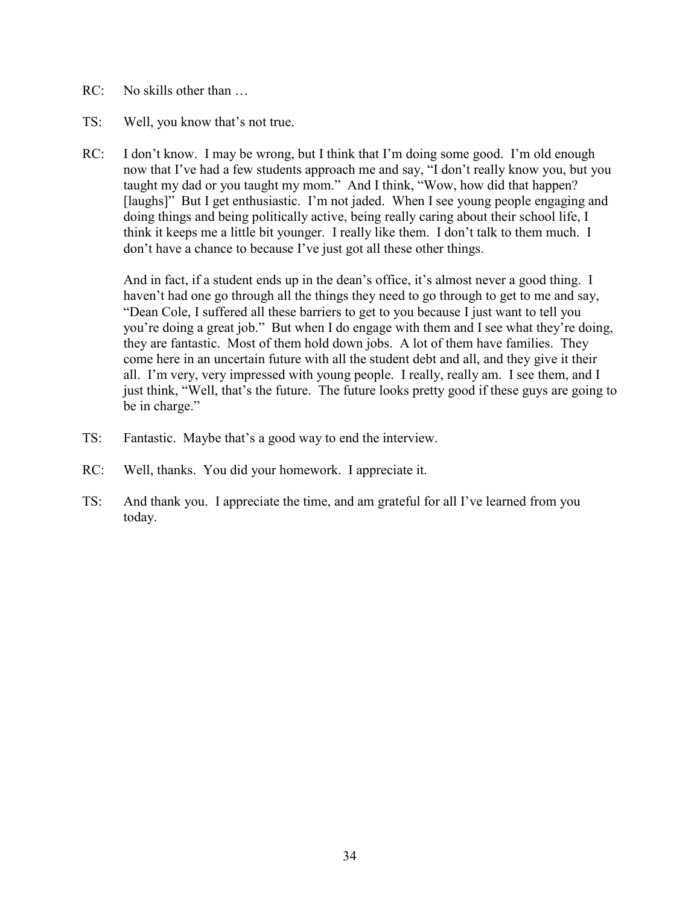- RC: No skills other than …
- TS: Well, you know that's not true.
- RC: I don't know. I may be wrong, but I think that I'm doing some good. I'm old enough now that I've had a few students approach me and say, "I don't really know you, but you taught my dad or you taught my mom." And I think, "Wow, how did that happen? [laughs]" But I get enthusiastic. I'm not jaded. When I see young people engaging and doing things and being politically active, being really caring about their school life, I think it keeps me a little bit younger. I really like them. I don't talk to them much. I don't have a chance to because I've just got all these other things.

And in fact, if a student ends up in the dean's office, it's almost never a good thing. I haven't had one go through all the things they need to go through to get to me and say, "Dean Cole, I suffered all these barriers to get to you because I just want to tell you you're doing a great job." But when I do engage with them and I see what they're doing, they are fantastic. Most of them hold down jobs. A lot of them have families. They come here in an uncertain future with all the student debt and all, and they give it their all. I'm very, very impressed with young people. I really, really am. I see them, and I just think, "Well, that's the future. The future looks pretty good if these guys are going to be in charge."

- TS: Fantastic. Maybe that's a good way to end the interview.
- RC: Well, thanks. You did your homework. I appreciate it.
- TS: And thank you. I appreciate the time, and am grateful for all I've learned from you today.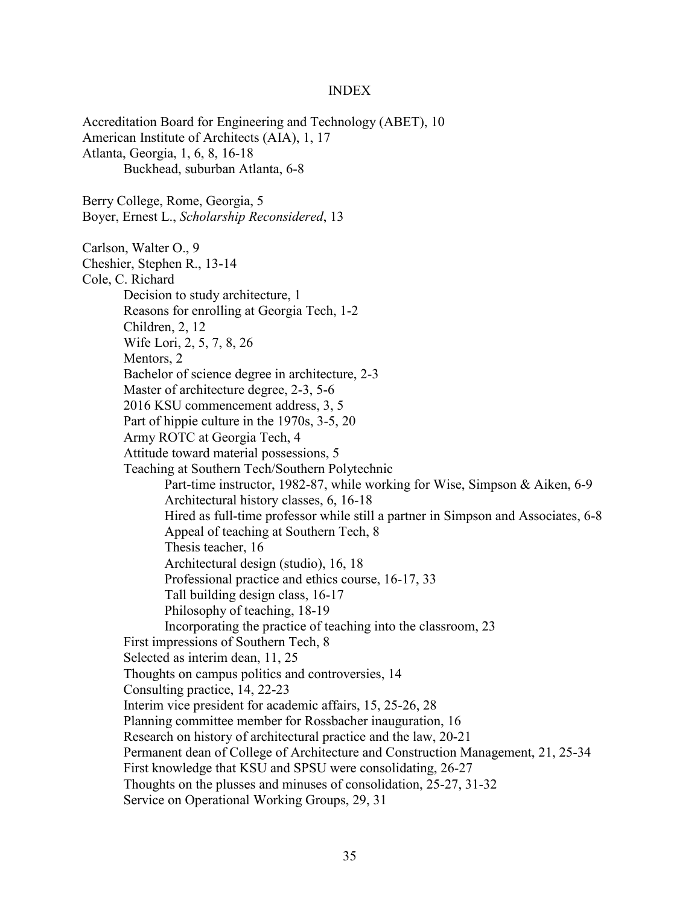#### INDEX

Accreditation Board for Engineering and Technology (ABET), 10 American Institute of Architects (AIA), 1, 17 Atlanta, Georgia, 1, 6, 8, 16-18 Buckhead, suburban Atlanta, 6-8 Berry College, Rome, Georgia, 5 Boyer, Ernest L., *Scholarship Reconsidered*, 13 Carlson, Walter O., 9 Cheshier, Stephen R., 13-14 Cole, C. Richard Decision to study architecture, 1 Reasons for enrolling at Georgia Tech, 1-2 Children, 2, 12 Wife Lori, 2, 5, 7, 8, 26 Mentors, 2 Bachelor of science degree in architecture, 2-3 Master of architecture degree, 2-3, 5-6 2016 KSU commencement address, 3, 5 Part of hippie culture in the 1970s, 3-5, 20 Army ROTC at Georgia Tech, 4 Attitude toward material possessions, 5 Teaching at Southern Tech/Southern Polytechnic Part-time instructor, 1982-87, while working for Wise, Simpson & Aiken, 6-9 Architectural history classes, 6, 16-18 Hired as full-time professor while still a partner in Simpson and Associates, 6-8 Appeal of teaching at Southern Tech, 8 Thesis teacher, 16 Architectural design (studio), 16, 18 Professional practice and ethics course, 16-17, 33 Tall building design class, 16-17 Philosophy of teaching, 18-19 Incorporating the practice of teaching into the classroom, 23 First impressions of Southern Tech, 8 Selected as interim dean, 11, 25 Thoughts on campus politics and controversies, 14 Consulting practice, 14, 22-23 Interim vice president for academic affairs, 15, 25-26, 28 Planning committee member for Rossbacher inauguration, 16 Research on history of architectural practice and the law, 20-21 Permanent dean of College of Architecture and Construction Management, 21, 25-34 First knowledge that KSU and SPSU were consolidating, 26-27 Thoughts on the plusses and minuses of consolidation, 25-27, 31-32 Service on Operational Working Groups, 29, 31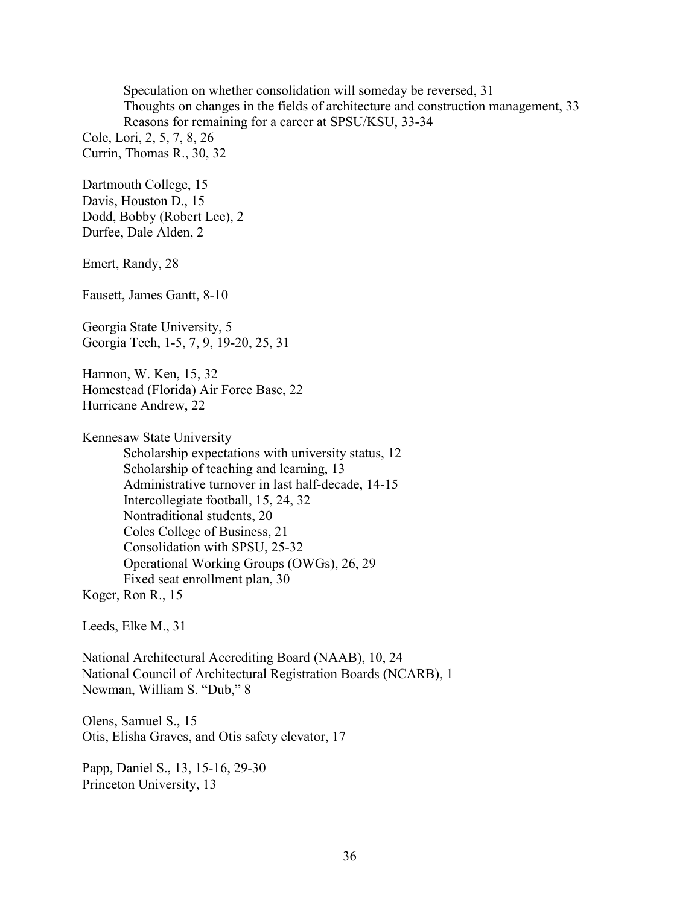Speculation on whether consolidation will someday be reversed, 31 Thoughts on changes in the fields of architecture and construction management, 33 Reasons for remaining for a career at SPSU/KSU, 33-34

Cole, Lori, 2, 5, 7, 8, 26 Currin, Thomas R., 30, 32

Dartmouth College, 15 Davis, Houston D., 15 Dodd, Bobby (Robert Lee), 2 Durfee, Dale Alden, 2

Emert, Randy, 28

Fausett, James Gantt, 8-10

Georgia State University, 5 Georgia Tech, 1-5, 7, 9, 19-20, 25, 31

Harmon, W. Ken, 15, 32 Homestead (Florida) Air Force Base, 22 Hurricane Andrew, 22

Kennesaw State University Scholarship expectations with university status, 12 Scholarship of teaching and learning, 13 Administrative turnover in last half-decade, 14-15 Intercollegiate football, 15, 24, 32 Nontraditional students, 20 Coles College of Business, 21 Consolidation with SPSU, 25-32 Operational Working Groups (OWGs), 26, 29 Fixed seat enrollment plan, 30

Koger, Ron R., 15

Leeds, Elke M., 31

National Architectural Accrediting Board (NAAB), 10, 24 National Council of Architectural Registration Boards (NCARB), 1 Newman, William S. "Dub," 8

Olens, Samuel S., 15 Otis, Elisha Graves, and Otis safety elevator, 17

Papp, Daniel S., 13, 15-16, 29-30 Princeton University, 13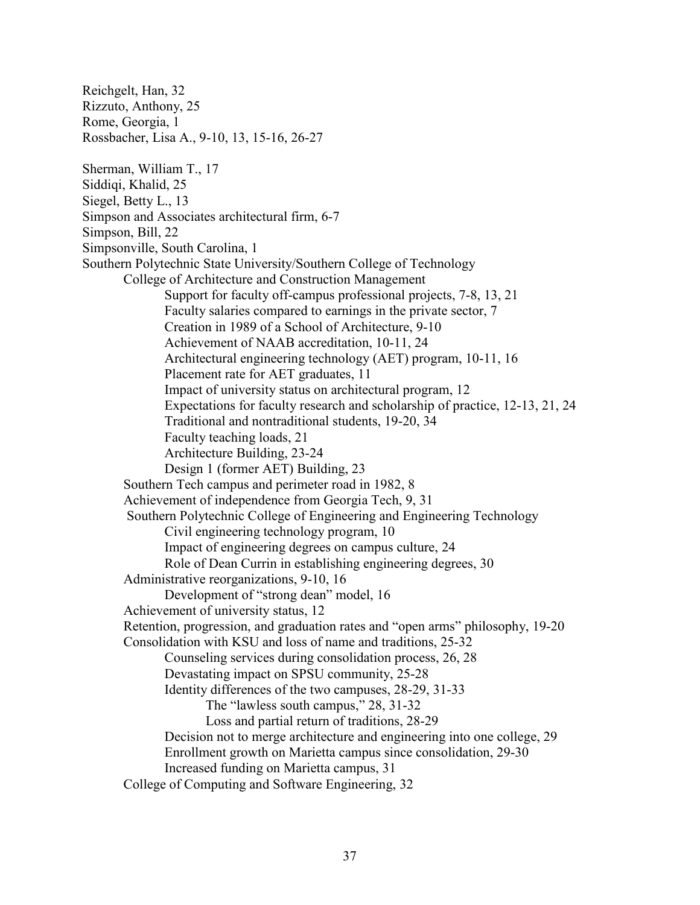Reichgelt, Han, 32 Rizzuto, Anthony, 25 Rome, Georgia, 1 Rossbacher, Lisa A., 9-10, 13, 15-16, 26-27 Sherman, William T., 17 Siddiqi, Khalid, 25 Siegel, Betty L., 13 Simpson and Associates architectural firm, 6-7 Simpson, Bill, 22 Simpsonville, South Carolina, 1 Southern Polytechnic State University/Southern College of Technology College of Architecture and Construction Management Support for faculty off-campus professional projects, 7-8, 13, 21 Faculty salaries compared to earnings in the private sector, 7 Creation in 1989 of a School of Architecture, 9-10 Achievement of NAAB accreditation, 10-11, 24 Architectural engineering technology (AET) program, 10-11, 16 Placement rate for AET graduates, 11 Impact of university status on architectural program, 12 Expectations for faculty research and scholarship of practice, 12-13, 21, 24 Traditional and nontraditional students, 19-20, 34 Faculty teaching loads, 21 Architecture Building, 23-24 Design 1 (former AET) Building, 23 Southern Tech campus and perimeter road in 1982, 8 Achievement of independence from Georgia Tech, 9, 31 Southern Polytechnic College of Engineering and Engineering Technology Civil engineering technology program, 10 Impact of engineering degrees on campus culture, 24 Role of Dean Currin in establishing engineering degrees, 30 Administrative reorganizations, 9-10, 16 Development of "strong dean" model, 16 Achievement of university status, 12 Retention, progression, and graduation rates and "open arms" philosophy, 19-20 Consolidation with KSU and loss of name and traditions, 25-32 Counseling services during consolidation process, 26, 28 Devastating impact on SPSU community, 25-28 Identity differences of the two campuses, 28-29, 31-33 The "lawless south campus," 28, 31-32 Loss and partial return of traditions, 28-29 Decision not to merge architecture and engineering into one college, 29 Enrollment growth on Marietta campus since consolidation, 29-30 Increased funding on Marietta campus, 31 College of Computing and Software Engineering, 32